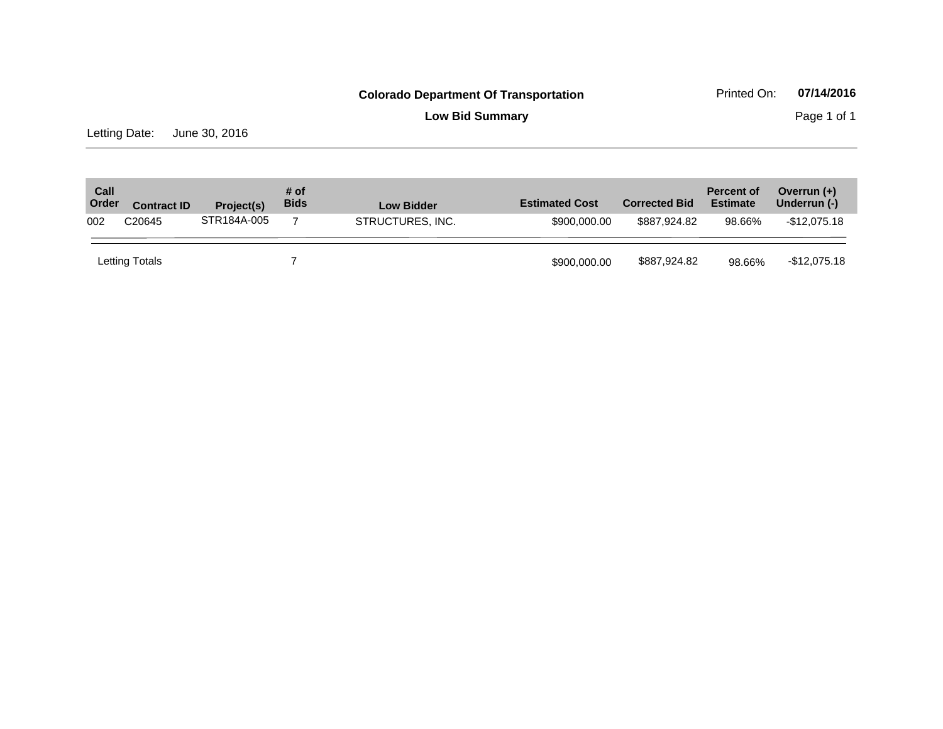**Low Bid Summary** Page 1 of 1

Letting Date: June 30, 2016

| Call<br>Order | <b>Contract ID</b> | Project(s)  | # of<br><b>Bids</b> | <b>Low Bidder</b> | <b>Estimated Cost</b> | <b>Corrected Bid</b> | <b>Percent of</b><br><b>Estimate</b> | Overrun $(+)$<br>Underrun (-) |
|---------------|--------------------|-------------|---------------------|-------------------|-----------------------|----------------------|--------------------------------------|-------------------------------|
| 002           | C <sub>20645</sub> | STR184A-005 |                     | STRUCTURES, INC.  | \$900,000,00          | \$887,924,82         | 98.66%                               | -\$12,075.18                  |
|               | Letting Totals     |             |                     |                   | \$900,000.00          | \$887,924.82         | 98.66%                               | -\$12,075.18                  |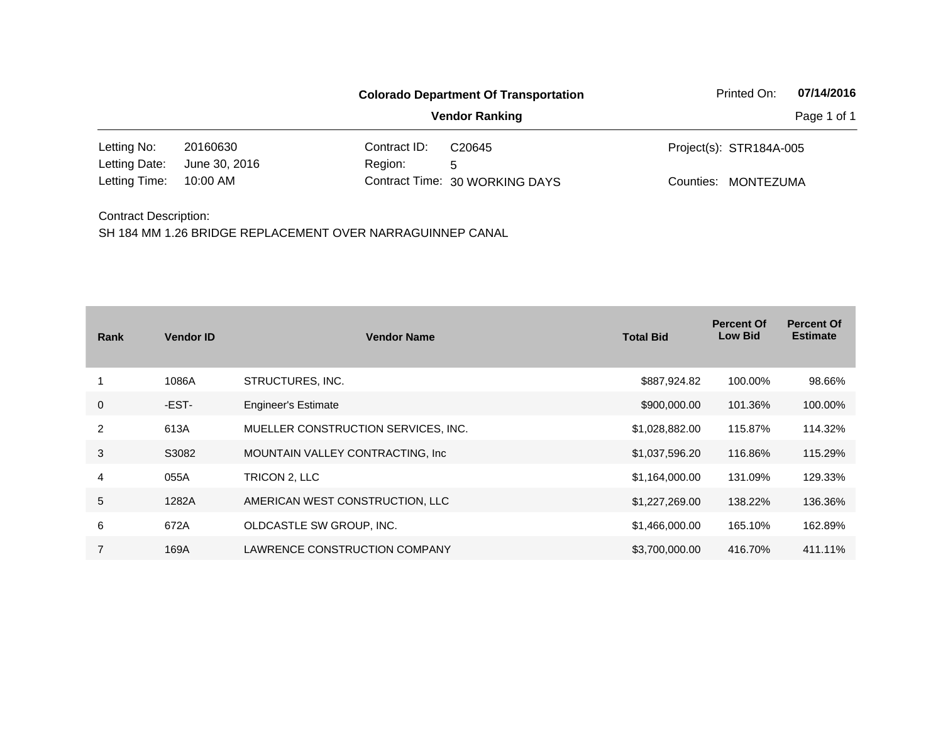|                              |               | <b>Colorado Department Of Transportation</b> | Printed On:                    | 07/14/2016              |           |
|------------------------------|---------------|----------------------------------------------|--------------------------------|-------------------------|-----------|
|                              |               |                                              | Page 1 of 1                    |                         |           |
| Letting No:                  | 20160630      | Contract ID:                                 | C20645                         | Project(s): STR184A-005 |           |
| Letting Date:                | June 30, 2016 | Region:                                      | 5                              |                         |           |
| Letting Time:                | 10:00 AM      |                                              | Contract Time: 30 WORKING DAYS | Counties:               | MONTEZUMA |
| <b>Contract Description:</b> |               |                                              |                                |                         |           |

| Rank           | <b>Vendor ID</b> | <b>Vendor Name</b>                  | <b>Total Bid</b> | <b>Percent Of</b><br><b>Low Bid</b> | <b>Percent Of</b><br><b>Estimate</b> |
|----------------|------------------|-------------------------------------|------------------|-------------------------------------|--------------------------------------|
|                | 1086A            | STRUCTURES, INC.                    | \$887,924.82     | 100.00%                             | 98.66%                               |
| $\mathbf 0$    | -EST-            | <b>Engineer's Estimate</b>          | \$900,000.00     | 101.36%                             | 100.00%                              |
| 2              | 613A             | MUELLER CONSTRUCTION SERVICES, INC. | \$1,028,882.00   | 115.87%                             | 114.32%                              |
| 3              | S3082            | MOUNTAIN VALLEY CONTRACTING, Inc.   | \$1,037,596.20   | 116.86%                             | 115.29%                              |
| 4              | 055A             | TRICON 2, LLC                       | \$1,164,000.00   | 131.09%                             | 129.33%                              |
| $\sqrt{5}$     | 1282A            | AMERICAN WEST CONSTRUCTION, LLC     | \$1,227,269.00   | 138.22%                             | 136.36%                              |
| 6              | 672A             | OLDCASTLE SW GROUP, INC.            | \$1,466,000.00   | 165.10%                             | 162.89%                              |
| $\overline{7}$ | 169A             | LAWRENCE CONSTRUCTION COMPANY       | \$3,700,000.00   | 416.70%                             | 411.11%                              |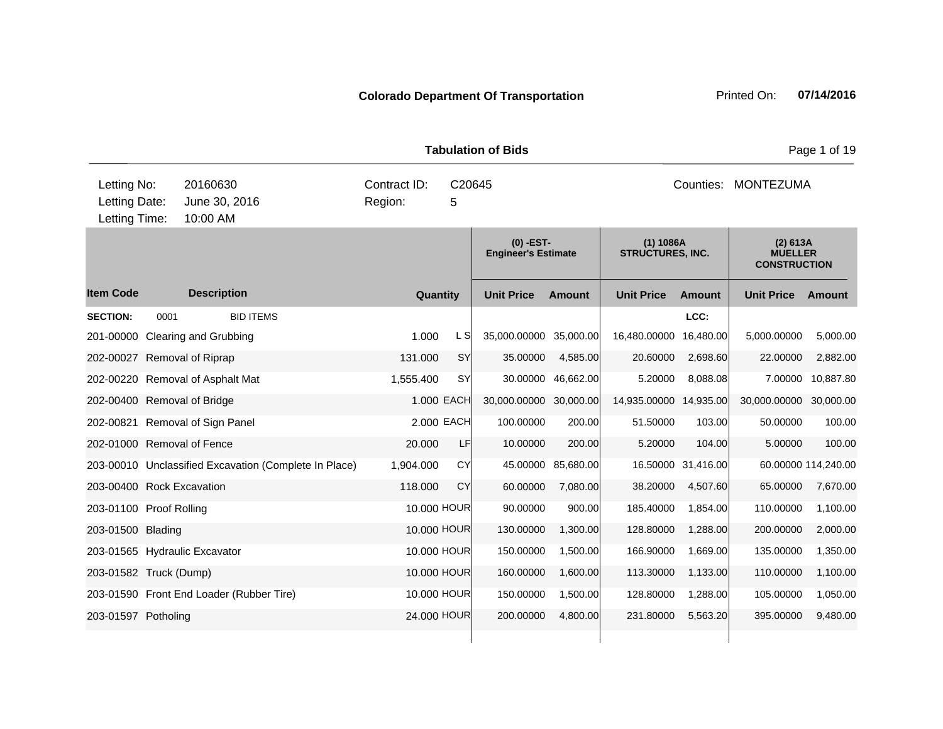|                                               |      |                                                       |                         | <b>Tabulation of Bids</b> | Page 1 of 19                              |               |                                      |                    |                                                   |                     |  |
|-----------------------------------------------|------|-------------------------------------------------------|-------------------------|---------------------------|-------------------------------------------|---------------|--------------------------------------|--------------------|---------------------------------------------------|---------------------|--|
| Letting No:<br>Letting Date:<br>Letting Time: |      | 20160630<br>June 30, 2016<br>10:00 AM                 | Contract ID:<br>Region: | C20645<br>5               |                                           |               |                                      |                    | Counties: MONTEZUMA                               |                     |  |
|                                               |      |                                                       |                         |                           | $(0)$ -EST-<br><b>Engineer's Estimate</b> |               | (1) 1086A<br><b>STRUCTURES, INC.</b> |                    | (2) 613A<br><b>MUELLER</b><br><b>CONSTRUCTION</b> |                     |  |
| <b>Item Code</b>                              |      | <b>Description</b>                                    | Quantity                |                           | <b>Unit Price</b>                         | <b>Amount</b> | <b>Unit Price</b>                    | <b>Amount</b>      | <b>Unit Price</b>                                 | <b>Amount</b>       |  |
| <b>SECTION:</b>                               | 0001 | <b>BID ITEMS</b>                                      |                         |                           |                                           |               |                                      | LCC:               |                                                   |                     |  |
|                                               |      | 201-00000 Clearing and Grubbing                       | 1.000                   | L SI                      | 35,000.00000 35,000.00                    |               | 16,480.00000                         | 16,480.00          | 5,000.00000                                       | 5,000.00            |  |
| 202-00027 Removal of Riprap                   |      |                                                       | 131.000                 | <b>SY</b>                 | 35.00000                                  | 4,585.00      | 20.60000                             | 2,698.60           | 22.00000                                          | 2,882.00            |  |
|                                               |      | 202-00220 Removal of Asphalt Mat                      | 1,555.400               | <b>SY</b>                 | 30.00000                                  | 46,662.00     | 5.20000                              | 8,088.08           | 7.00000                                           | 10,887.80           |  |
| 202-00400 Removal of Bridge                   |      |                                                       |                         | 1.000 EACH                | 30,000.00000 30,000.00                    |               | 14,935.00000                         | 14,935.00          | 30,000.00000                                      | 30,000.00           |  |
|                                               |      | 202-00821 Removal of Sign Panel                       |                         | 2.000 EACH                | 100.00000                                 | 200.00        | 51.50000                             | 103.00             | 50.00000                                          | 100.00              |  |
| 202-01000 Removal of Fence                    |      |                                                       | 20.000                  | LF                        | 10.00000                                  | 200.00        | 5.20000                              | 104.00             | 5.00000                                           | 100.00              |  |
|                                               |      | 203-00010 Unclassified Excavation (Complete In Place) | 1,904.000               | CY                        | 45.00000                                  | 85,680.00     |                                      | 16.50000 31,416.00 |                                                   | 60.00000 114,240.00 |  |
| 203-00400 Rock Excavation                     |      |                                                       | 118,000                 | CY                        | 60.00000                                  | 7,080.00      | 38.20000                             | 4,507.60           | 65.00000                                          | 7,670.00            |  |
| 203-01100 Proof Rolling                       |      |                                                       |                         | 10.000 HOUR               | 90.00000                                  | 900.00        | 185.40000                            | 1,854.00           | 110.00000                                         | 1,100.00            |  |
| 203-01500 Blading                             |      |                                                       |                         | 10.000 HOUR               | 130.00000                                 | 1,300.00      | 128.80000                            | 1,288.00           | 200.00000                                         | 2,000.00            |  |
|                                               |      | 203-01565 Hydraulic Excavator                         |                         | 10.000 HOUR               | 150.00000                                 | 1,500.00      | 166.90000                            | 1,669.00           | 135.00000                                         | 1,350.00            |  |
| 203-01582 Truck (Dump)                        |      |                                                       |                         | 10.000 HOUR               | 160.00000                                 | 1,600.00      | 113.30000                            | 1,133.00           | 110.00000                                         | 1,100.00            |  |
|                                               |      | 203-01590 Front End Loader (Rubber Tire)              |                         | 10.000 HOUR               | 150.00000                                 | 1,500.00      | 128.80000                            | 1,288.00           | 105.00000                                         | 1,050.00            |  |
| 203-01597 Potholing                           |      |                                                       |                         | 24,000 HOUR               | 200.00000                                 | 4,800.00      | 231.80000                            | 5,563.20           | 395.00000                                         | 9,480.00            |  |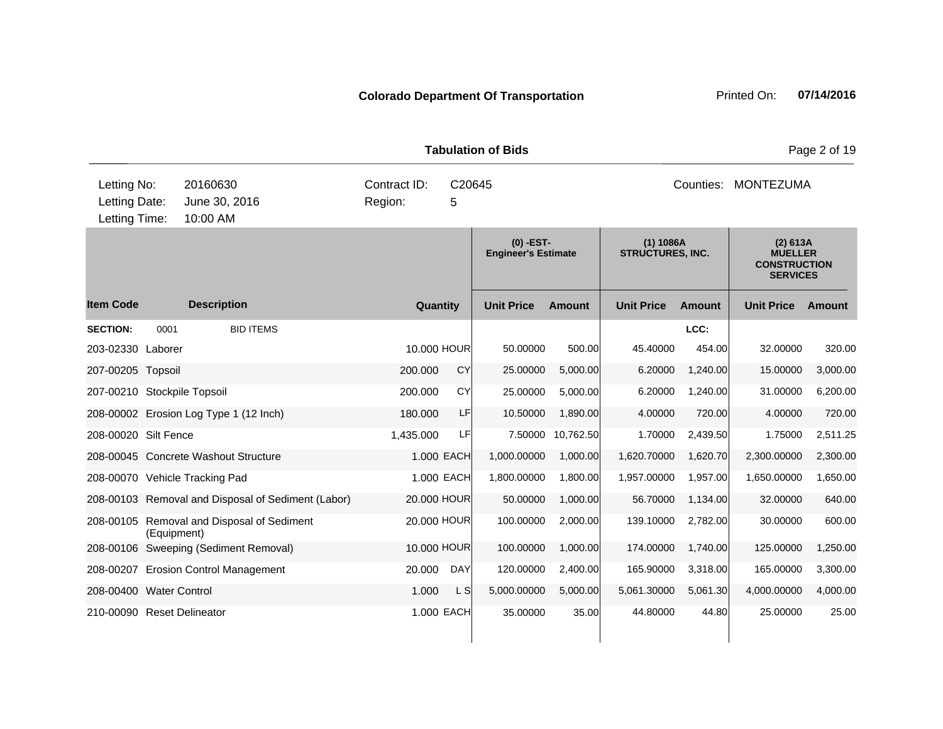| <b>Tabulation of Bids</b>                     |             |                                                    |                                        |            |                                         |           |                                      |                |                                                                      | Page 2 of 19 |
|-----------------------------------------------|-------------|----------------------------------------------------|----------------------------------------|------------|-----------------------------------------|-----------|--------------------------------------|----------------|----------------------------------------------------------------------|--------------|
| Letting No:<br>Letting Date:<br>Letting Time: |             | 20160630<br>June 30, 2016<br>10:00 AM              | Contract ID:<br>C20645<br>Region:<br>5 |            |                                         |           | Counties: MONTEZUMA                  |                |                                                                      |              |
|                                               |             |                                                    |                                        |            | (0) -EST-<br><b>Engineer's Estimate</b> |           | (1) 1086A<br><b>STRUCTURES, INC.</b> |                | (2) 613A<br><b>MUELLER</b><br><b>CONSTRUCTION</b><br><b>SERVICES</b> |              |
| <b>Item Code</b>                              |             | <b>Description</b>                                 | Quantity                               |            | <b>Unit Price</b>                       | Amount    | <b>Unit Price</b>                    | <b>Amount</b>  | <b>Unit Price</b>                                                    | Amount       |
| <b>SECTION:</b><br>203-02330 Laborer          | 0001        | <b>BID ITEMS</b>                                   | 10.000 HOUR                            |            | 50.00000                                | 500.00    | 45.40000                             | LCC:<br>454.00 | 32.00000                                                             | 320.00       |
| 207-00205 Topsoil                             |             |                                                    | 200.000                                | CY         | 25.00000                                | 5,000.00  | 6.20000                              | 1,240.00       | 15.00000                                                             | 3,000.00     |
| 207-00210 Stockpile Topsoil                   |             |                                                    | 200.000                                | CY         | 25.00000                                | 5,000.00  | 6.20000                              | 1,240.00       | 31.00000                                                             | 6,200.00     |
|                                               |             | 208-00002 Erosion Log Type 1 (12 Inch)             | 180.000                                | LF         | 10.50000                                | 1,890.00  | 4.00000                              | 720.00         | 4.00000                                                              | 720.00       |
| 208-00020 Silt Fence                          |             |                                                    | 1,435.000                              | LF         | 7.50000                                 | 10,762.50 | 1.70000                              | 2,439.50       | 1.75000                                                              | 2,511.25     |
|                                               |             | 208-00045 Concrete Washout Structure               | 1.000 EACH                             |            | 1,000.00000                             | 1,000.00  | 1,620.70000                          | 1,620.70       | 2,300.00000                                                          | 2,300.00     |
|                                               |             | 208-00070 Vehicle Tracking Pad                     | 1.000 EACH                             |            | 1,800.00000                             | 1,800.00  | 1,957.00000                          | 1,957.00       | 1,650.00000                                                          | 1,650.00     |
|                                               |             | 208-00103 Removal and Disposal of Sediment (Labor) | 20,000 HOUR                            |            | 50.00000                                | 1,000.00  | 56.70000                             | 1,134.00       | 32.00000                                                             | 640.00       |
|                                               | (Equipment) | 208-00105 Removal and Disposal of Sediment         | 20.000 HOUR                            |            | 100.00000                               | 2,000.00  | 139.10000                            | 2,782.00       | 30.00000                                                             | 600.00       |
|                                               |             | 208-00106 Sweeping (Sediment Removal)              | 10,000 HOUR                            |            | 100.00000                               | 1,000.00  | 174.00000                            | 1,740.00       | 125.00000                                                            | 1,250.00     |
|                                               |             | 208-00207 Erosion Control Management               | 20.000                                 | <b>DAY</b> | 120.00000                               | 2,400.00  | 165.90000                            | 3,318.00       | 165.00000                                                            | 3,300.00     |
| 208-00400 Water Control                       |             |                                                    | 1.000                                  | L S        | 5,000.00000                             | 5,000.00  | 5,061.30000                          | 5,061.30       | 4,000.00000                                                          | 4,000.00     |
| 210-00090 Reset Delineator                    |             |                                                    | 1.000 EACH                             |            | 35.00000                                | 35.00     | 44.80000                             | 44.80          | 25.00000                                                             | 25.00        |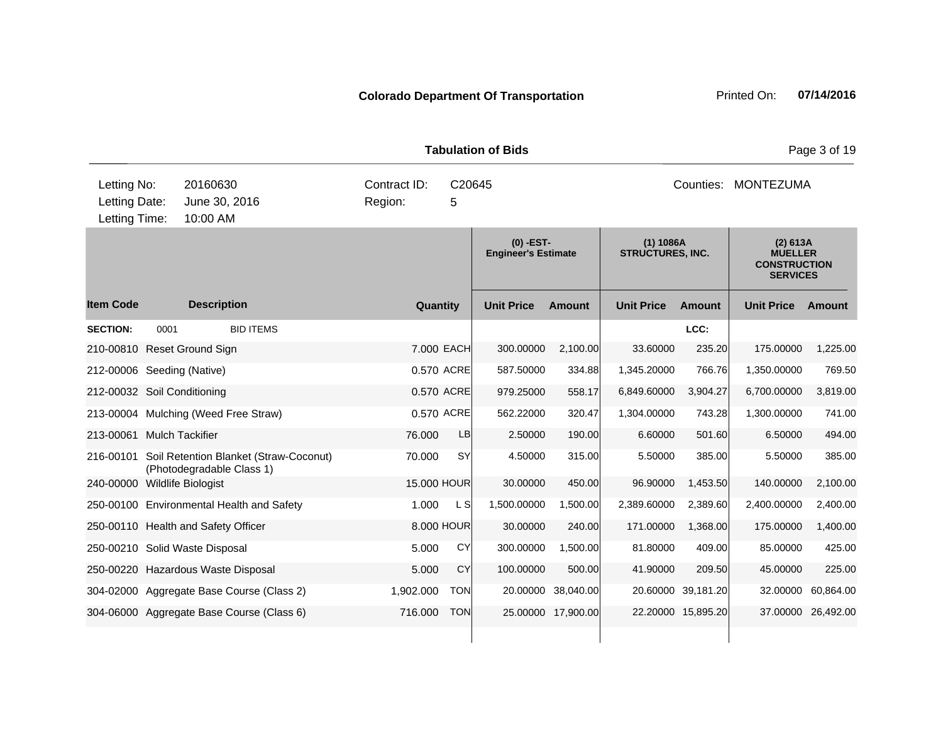| <b>Tabulation of Bids</b>                     |      |                                                                     |                                        |            |                                         |                    |                                      | Page 3 of 19       |                                                                      |                    |  |
|-----------------------------------------------|------|---------------------------------------------------------------------|----------------------------------------|------------|-----------------------------------------|--------------------|--------------------------------------|--------------------|----------------------------------------------------------------------|--------------------|--|
| Letting No:<br>Letting Date:<br>Letting Time: |      | 20160630<br>June 30, 2016<br>10:00 AM                               | Contract ID:<br>C20645<br>Region:<br>5 |            |                                         |                    | Counties: MONTEZUMA                  |                    |                                                                      |                    |  |
|                                               |      |                                                                     |                                        |            | (0) -EST-<br><b>Engineer's Estimate</b> |                    | (1) 1086A<br><b>STRUCTURES, INC.</b> |                    | (2) 613A<br><b>MUELLER</b><br><b>CONSTRUCTION</b><br><b>SERVICES</b> |                    |  |
| <b>Item Code</b>                              |      | <b>Description</b>                                                  | Quantity                               |            | <b>Unit Price</b>                       | <b>Amount</b>      | <b>Unit Price</b>                    | <b>Amount</b>      | <b>Unit Price</b>                                                    | Amount             |  |
| <b>SECTION:</b>                               | 0001 | <b>BID ITEMS</b>                                                    |                                        |            |                                         |                    |                                      | LCC:               |                                                                      |                    |  |
|                                               |      | 210-00810 Reset Ground Sign                                         |                                        | 7.000 EACH | 300.00000                               | 2,100.00           | 33.60000                             | 235.20             | 175,00000                                                            | 1,225.00           |  |
| 212-00006 Seeding (Native)                    |      |                                                                     |                                        | 0.570 ACRE | 587.50000                               | 334.88             | 1,345.20000                          | 766.76             | 1,350.00000                                                          | 769.50             |  |
| 212-00032 Soil Conditioning                   |      |                                                                     |                                        | 0.570 ACRE | 979.25000                               | 558.17             | 6,849.60000                          | 3,904.27           | 6,700.00000                                                          | 3,819.00           |  |
|                                               |      | 213-00004 Mulching (Weed Free Straw)                                |                                        | 0.570 ACRE | 562.22000                               | 320.47             | 1,304.00000                          | 743.28             | 1,300.00000                                                          | 741.00             |  |
| 213-00061                                     |      | <b>Mulch Tackifier</b>                                              | 76.000                                 | <b>LB</b>  | 2.50000                                 | 190.00             | 6.60000                              | 501.60             | 6.50000                                                              | 494.00             |  |
| 216-00101                                     |      | Soil Retention Blanket (Straw-Coconut)<br>(Photodegradable Class 1) | 70.000                                 | <b>SY</b>  | 4.50000                                 | 315.00             | 5.50000                              | 385.00             | 5.50000                                                              | 385.00             |  |
| 240-00000 Wildlife Biologist                  |      |                                                                     | 15.000 HOUR                            |            | 30.00000                                | 450.00             | 96.90000                             | 1,453.50           | 140.00000                                                            | 2,100.00           |  |
|                                               |      | 250-00100 Environmental Health and Safety                           | 1.000                                  | L S        | 1,500.00000                             | 1,500.00           | 2,389.60000                          | 2,389.60           | 2,400.00000                                                          | 2,400.00           |  |
|                                               |      | 250-00110 Health and Safety Officer                                 |                                        | 8.000 HOUR | 30.00000                                | 240.00             | 171.00000                            | 1,368.00           | 175.00000                                                            | 1,400.00           |  |
|                                               |      | 250-00210 Solid Waste Disposal                                      | 5.000                                  | <b>CY</b>  | 300.00000                               | 1,500.00           | 81.80000                             | 409.00             | 85.00000                                                             | 425.00             |  |
|                                               |      | 250-00220 Hazardous Waste Disposal                                  | 5.000                                  | CY         | 100.00000                               | 500.00             | 41.90000                             | 209.50             | 45.00000                                                             | 225.00             |  |
|                                               |      | 304-02000 Aggregate Base Course (Class 2)                           | 1,902.000                              | <b>TON</b> | 20.00000                                | 38,040.00          |                                      | 20.60000 39,181.20 | 32.00000                                                             | 60,864.00          |  |
|                                               |      | 304-06000 Aggregate Base Course (Class 6)                           | 716.000                                | <b>TON</b> |                                         | 25.00000 17,900.00 |                                      | 22.20000 15,895.20 |                                                                      | 37.00000 26,492.00 |  |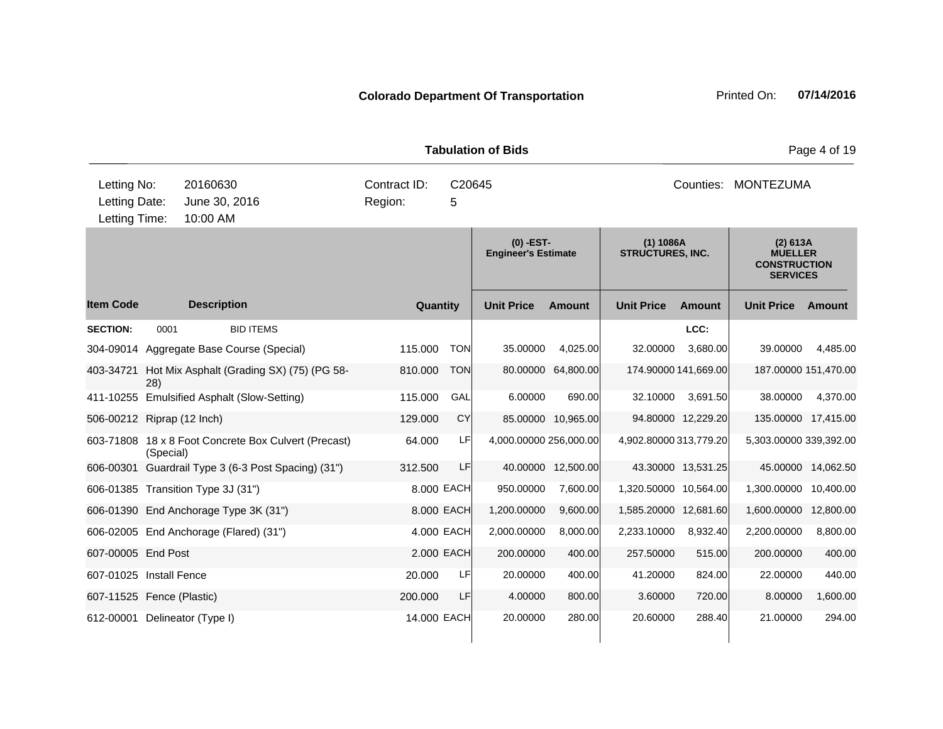| <b>Tabulation of Bids</b>                                                             |                          |                                                                                                                                                                                                                                                                                                                |                                                               |                                                                 |                                                                        |                                                                                         |                                                                                                |                                                                          |                                                                                                              | Page 4 of 19                                            |
|---------------------------------------------------------------------------------------|--------------------------|----------------------------------------------------------------------------------------------------------------------------------------------------------------------------------------------------------------------------------------------------------------------------------------------------------------|---------------------------------------------------------------|-----------------------------------------------------------------|------------------------------------------------------------------------|-----------------------------------------------------------------------------------------|------------------------------------------------------------------------------------------------|--------------------------------------------------------------------------|--------------------------------------------------------------------------------------------------------------|---------------------------------------------------------|
| Letting No:<br>Letting Date:<br>Letting Time:                                         |                          | 20160630<br>June 30, 2016<br>10:00 AM                                                                                                                                                                                                                                                                          | Contract ID:<br>Region:                                       | C20645<br>5                                                     |                                                                        |                                                                                         |                                                                                                |                                                                          | Counties: MONTEZUMA                                                                                          |                                                         |
|                                                                                       |                          |                                                                                                                                                                                                                                                                                                                |                                                               |                                                                 | (0) -EST-<br><b>Engineer's Estimate</b>                                |                                                                                         | (1) 1086A<br><b>STRUCTURES, INC.</b>                                                           |                                                                          | (2) 613A<br><b>MUELLER</b><br><b>CONSTRUCTION</b><br><b>SERVICES</b>                                         |                                                         |
| <b>Item Code</b>                                                                      |                          | <b>Description</b>                                                                                                                                                                                                                                                                                             | Quantity                                                      |                                                                 | <b>Unit Price</b>                                                      | <b>Amount</b>                                                                           | <b>Unit Price</b>                                                                              | <b>Amount</b>                                                            | <b>Unit Price</b>                                                                                            | <b>Amount</b>                                           |
| <b>SECTION:</b><br>403-34721<br>506-00212 Riprap (12 Inch)                            | 0001<br>28)<br>(Special) | <b>BID ITEMS</b><br>304-09014 Aggregate Base Course (Special)<br>Hot Mix Asphalt (Grading SX) (75) (PG 58-<br>411-10255 Emulsified Asphalt (Slow-Setting)<br>603-71808 18 x 8 Foot Concrete Box Culvert (Precast)<br>606-00301 Guardrail Type 3 (6-3 Post Spacing) (31")<br>606-01385 Transition Type 3J (31") | 115.000<br>810.000<br>115.000<br>129.000<br>64.000<br>312.500 | <b>TON</b><br><b>TON</b><br>GAL<br>CY<br>LF<br>LF<br>8.000 EACH | 35.00000<br>80.00000<br>6.00000<br>4,000.00000 256,000.00<br>950.00000 | 4,025.00<br>64,800.00<br>690.00<br>85.00000 10,965.00<br>40.00000 12,500.00<br>7,600.00 | 32.00000<br>174.90000 141,669.00<br>32.10000<br>4,902.80000313,779.20<br>1,320.50000 10,564.00 | LCC:<br>3,680.00<br>3,691.50<br>94.80000 12,229.20<br>43.30000 13,531.25 | 39.00000<br>187.00000 151,470.00<br>38.00000<br>135.00000 17,415.00<br>5,303.00000 339,392.00<br>1,300.00000 | 4,485.00<br>4,370.00<br>45.00000 14,062.50<br>10,400.00 |
| 607-00005 End Post                                                                    |                          | 606-01390 End Anchorage Type 3K (31")<br>606-02005 End Anchorage (Flared) (31")                                                                                                                                                                                                                                | 8.000 EACH<br>4.000 EACH<br>2.000 EACH                        |                                                                 | 1,200.00000<br>2,000.00000<br>200.00000                                | 9,600.00<br>8,000.00<br>400.00                                                          | 1,585.20000 12,681.60<br>2,233.10000<br>257.50000                                              | 8,932.40<br>515.00                                                       | 1,600.00000<br>2,200.00000<br>200.00000                                                                      | 12,800.00<br>8,800.00<br>400.00                         |
| 607-01025 Install Fence<br>607-11525 Fence (Plastic)<br>612-00001 Delineator (Type I) |                          |                                                                                                                                                                                                                                                                                                                | 20.000<br>200.000<br>14.000 EACH                              | LF<br>LF                                                        | 20.00000<br>4.00000<br>20.00000                                        | 400.00<br>800.00<br>280.00                                                              | 41.20000<br>3.60000<br>20.60000                                                                | 824.00<br>720.00<br>288.40                                               | 22.00000<br>8.00000<br>21.00000                                                                              | 440.00<br>1,600.00<br>294.00                            |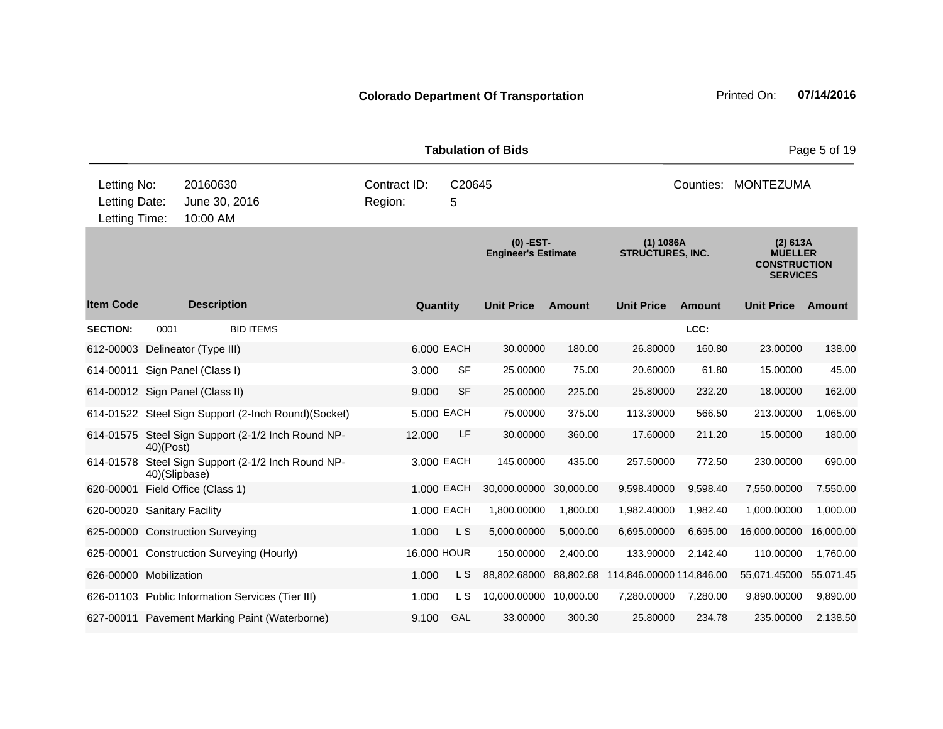| <b>Tabulation of Bids</b>                     |               |                                                      |                                        |            |                                         |               |                                      |          | Page 5 of 19                                                         |           |  |
|-----------------------------------------------|---------------|------------------------------------------------------|----------------------------------------|------------|-----------------------------------------|---------------|--------------------------------------|----------|----------------------------------------------------------------------|-----------|--|
| Letting No:<br>Letting Date:<br>Letting Time: |               | 20160630<br>June 30, 2016<br>10:00 AM                | Contract ID:<br>C20645<br>Region:<br>5 |            |                                         |               | Counties: MONTEZUMA                  |          |                                                                      |           |  |
|                                               |               |                                                      |                                        |            | (0) -EST-<br><b>Engineer's Estimate</b> |               | (1) 1086A<br><b>STRUCTURES, INC.</b> |          | (2) 613A<br><b>MUELLER</b><br><b>CONSTRUCTION</b><br><b>SERVICES</b> |           |  |
| <b>Item Code</b>                              |               | <b>Description</b>                                   | Quantity                               |            | <b>Unit Price</b>                       | <b>Amount</b> | <b>Unit Price</b>                    | Amount   | <b>Unit Price</b>                                                    | Amount    |  |
| <b>SECTION:</b>                               | 0001          | <b>BID ITEMS</b>                                     |                                        |            |                                         |               |                                      | LCC:     |                                                                      |           |  |
|                                               |               | 612-00003 Delineator (Type III)                      |                                        | 6.000 EACH | 30.00000                                | 180.00        | 26.80000                             | 160.80   | 23.00000                                                             | 138.00    |  |
|                                               |               | 614-00011 Sign Panel (Class I)                       | 3.000                                  | <b>SF</b>  | 25.00000                                | 75.00         | 20.60000                             | 61.80    | 15.00000                                                             | 45.00     |  |
|                                               |               | 614-00012 Sign Panel (Class II)                      | 9.000                                  | <b>SF</b>  | 25.00000                                | 225.00        | 25.80000                             | 232.20   | 18.00000                                                             | 162.00    |  |
|                                               |               | 614-01522 Steel Sign Support (2-Inch Round) (Socket) |                                        | 5.000 EACH | 75.00000                                | 375.00        | 113.30000                            | 566.50   | 213.00000                                                            | 1,065.00  |  |
|                                               | 40)(Post)     | 614-01575 Steel Sign Support (2-1/2 Inch Round NP-   | 12.000                                 | LF         | 30.00000                                | 360.00        | 17.60000                             | 211.20   | 15.00000                                                             | 180.00    |  |
| 614-01578                                     | 40)(Slipbase) | Steel Sign Support (2-1/2 Inch Round NP-             |                                        | 3.000 EACH | 145.00000                               | 435.00        | 257.50000                            | 772.50   | 230.00000                                                            | 690.00    |  |
| 620-00001                                     |               | Field Office (Class 1)                               |                                        | 1.000 EACH | 30,000.00000                            | 30,000.00     | 9,598.40000                          | 9,598.40 | 7,550.00000                                                          | 7,550.00  |  |
| 620-00020 Sanitary Facility                   |               |                                                      |                                        | 1.000 EACH | 1,800.00000                             | 1,800.00      | 1,982.40000                          | 1,982.40 | 1,000.00000                                                          | 1,000.00  |  |
|                                               |               | 625-00000 Construction Surveying                     | 1.000                                  | L S        | 5,000.00000                             | 5,000.00      | 6,695.00000                          | 6,695.00 | 16,000.00000                                                         | 16,000.00 |  |
|                                               |               | 625-00001 Construction Surveying (Hourly)            | 16.000 HOUR                            |            | 150.00000                               | 2,400.00      | 133.90000                            | 2,142.40 | 110.00000                                                            | 1,760.00  |  |
| 626-00000 Mobilization                        |               |                                                      | 1.000                                  | L S        | 88,802.68000                            | 88,802.68     | 114,846.00000 114,846.00             |          | 55,071.45000                                                         | 55,071.45 |  |
|                                               |               | 626-01103 Public Information Services (Tier III)     | 1.000                                  | L SI       | 10,000.00000 10,000.00                  |               | 7,280.00000                          | 7,280.00 | 9,890.00000                                                          | 9,890.00  |  |
|                                               |               | 627-00011 Pavement Marking Paint (Waterborne)        | 9.100                                  | GAL        | 33.00000                                | 300.30        | 25.80000                             | 234.78   | 235.00000                                                            | 2,138.50  |  |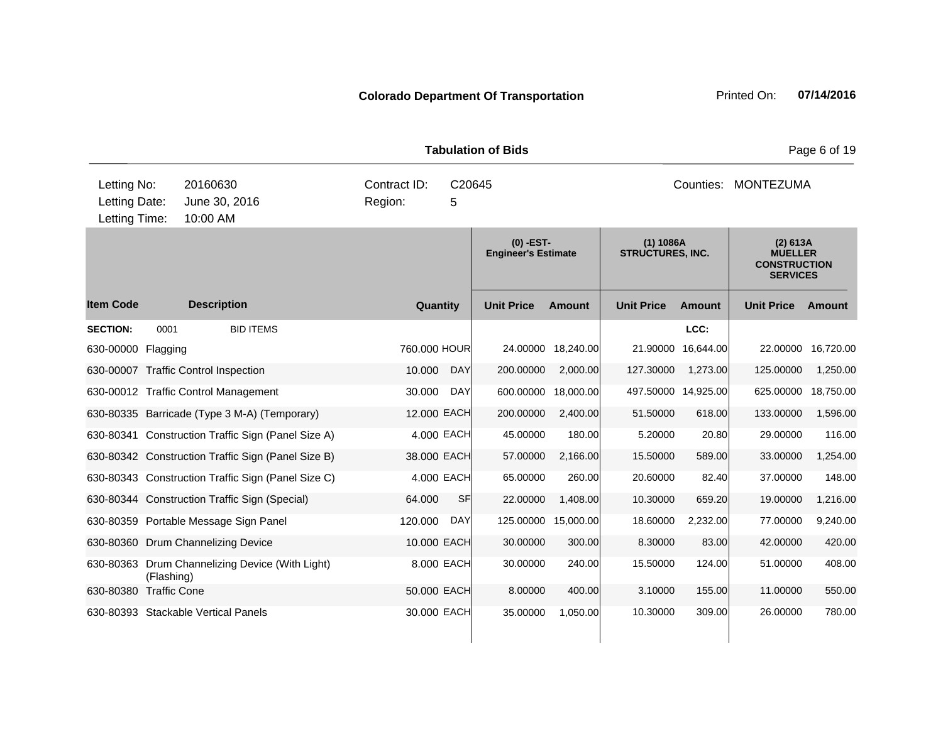|                                               | <b>Tabulation of Bids</b> |                                                    |                                           |             |                                        |               |                                                                      |                     |                   | Page 6 of 19 |  |  |
|-----------------------------------------------|---------------------------|----------------------------------------------------|-------------------------------------------|-------------|----------------------------------------|---------------|----------------------------------------------------------------------|---------------------|-------------------|--------------|--|--|
| Letting No:<br>Letting Date:<br>Letting Time: |                           | 20160630<br>June 30, 2016<br>10:00 AM              | Contract ID:<br>Region:                   | C20645<br>5 |                                        |               |                                                                      | Counties:           | MONTEZUMA         |              |  |  |
|                                               |                           |                                                    | $(0)$ -EST-<br><b>Engineer's Estimate</b> |             | $(1)$ 1086A<br><b>STRUCTURES, INC.</b> |               | (2) 613A<br><b>MUELLER</b><br><b>CONSTRUCTION</b><br><b>SERVICES</b> |                     |                   |              |  |  |
| <b>Item Code</b>                              |                           | <b>Description</b>                                 | Quantity                                  |             | <b>Unit Price</b>                      | <b>Amount</b> | <b>Unit Price</b>                                                    | <b>Amount</b>       | <b>Unit Price</b> | Amount       |  |  |
| <b>SECTION:</b>                               | 0001                      | <b>BID ITEMS</b>                                   |                                           |             |                                        |               |                                                                      | LCC:                |                   |              |  |  |
| 630-00000 Flagging                            |                           |                                                    | 760,000 HOUR                              |             | 24.00000                               | 18,240.00     | 21.90000                                                             | 16.644.00           | 22.00000          | 16,720.00    |  |  |
|                                               |                           | 630-00007 Traffic Control Inspection               | 10.000                                    | <b>DAY</b>  | 200.00000                              | 2,000.00      | 127.30000                                                            | 1,273.00            | 125.00000         | 1,250.00     |  |  |
|                                               |                           | 630-00012 Traffic Control Management               | 30.000                                    | <b>DAY</b>  | 600.00000                              | 18,000.00     |                                                                      | 497.50000 14,925.00 | 625.00000         | 18,750.00    |  |  |
|                                               |                           | 630-80335 Barricade (Type 3 M-A) (Temporary)       | 12.000 EACH                               |             | 200.00000                              | 2,400.00      | 51.50000                                                             | 618.00              | 133.00000         | 1,596.00     |  |  |
|                                               |                           | 630-80341 Construction Traffic Sign (Panel Size A) | 4.000 EACH                                |             | 45.00000                               | 180.00        | 5.20000                                                              | 20.80               | 29.00000          | 116.00       |  |  |
|                                               |                           | 630-80342 Construction Traffic Sign (Panel Size B) | 38.000 EACH                               |             | 57.00000                               | 2,166.00      | 15.50000                                                             | 589.00              | 33.00000          | 1,254.00     |  |  |
|                                               |                           | 630-80343 Construction Traffic Sign (Panel Size C) | 4.000 EACH                                |             | 65.00000                               | 260.00        | 20.60000                                                             | 82.40               | 37.00000          | 148.00       |  |  |
|                                               |                           | 630-80344 Construction Traffic Sign (Special)      | 64.000                                    | <b>SF</b>   | 22.00000                               | 1,408.00      | 10.30000                                                             | 659.20              | 19.00000          | 1,216.00     |  |  |
|                                               |                           | 630-80359 Portable Message Sign Panel              | 120.000                                   | <b>DAY</b>  | 125.00000                              | 15,000.00     | 18.60000                                                             | 2,232.00            | 77.00000          | 9,240.00     |  |  |
|                                               |                           | 630-80360 Drum Channelizing Device                 | 10.000 EACH                               |             | 30.00000                               | 300.00        | 8.30000                                                              | 83.00               | 42.00000          | 420.00       |  |  |
|                                               | (Flashing)                | 630-80363 Drum Channelizing Device (With Light)    | 8.000 EACH                                |             | 30.00000                               | 240.00        | 15.50000                                                             | 124.00              | 51.00000          | 408.00       |  |  |
| 630-80380 Traffic Cone                        |                           |                                                    | 50.000 EACH                               |             | 8.00000                                | 400.00        | 3.10000                                                              | 155.00              | 11.00000          | 550.00       |  |  |
|                                               |                           | 630-80393 Stackable Vertical Panels                | 30.000 EACH                               |             | 35.00000                               | 1.050.00      | 10.30000                                                             | 309.00              | 26,00000          | 780.00       |  |  |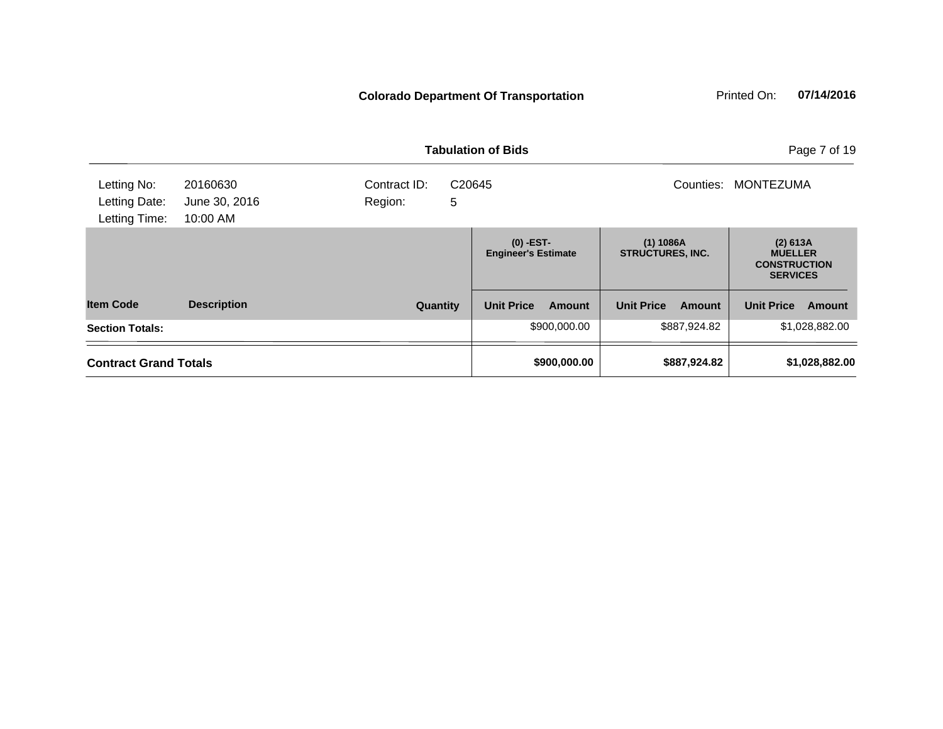|                                               |                                       |                                        | <b>Tabulation of Bids</b>                 | Page 7 of 19                         |                                                                      |
|-----------------------------------------------|---------------------------------------|----------------------------------------|-------------------------------------------|--------------------------------------|----------------------------------------------------------------------|
| Letting No:<br>Letting Date:<br>Letting Time: | 20160630<br>June 30, 2016<br>10:00 AM | Contract ID:<br>C20645<br>5<br>Region: |                                           | Counties:                            | <b>MONTEZUMA</b>                                                     |
|                                               |                                       |                                        | $(0)$ -EST-<br><b>Engineer's Estimate</b> | (1) 1086A<br><b>STRUCTURES, INC.</b> | (2) 613A<br><b>MUELLER</b><br><b>CONSTRUCTION</b><br><b>SERVICES</b> |
| <b>Item Code</b>                              | <b>Description</b>                    | Quantity                               | <b>Unit Price</b><br>Amount               | <b>Unit Price</b><br><b>Amount</b>   | <b>Unit Price</b><br><b>Amount</b>                                   |
| <b>Section Totals:</b>                        |                                       |                                        | \$900,000.00                              | \$887,924.82                         | \$1,028,882.00                                                       |
| <b>Contract Grand Totals</b>                  |                                       |                                        | \$900,000.00                              | \$887,924.82                         | \$1,028,882.00                                                       |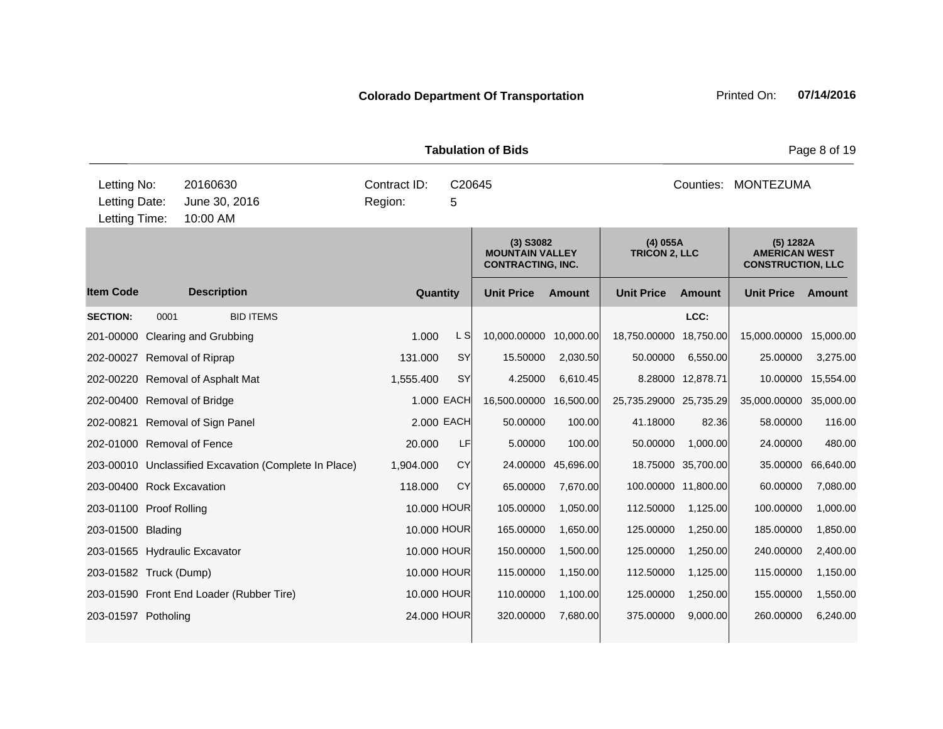| <b>Tabulation of Bids</b>                     |      |                                       |                                                       |                                        |             |                                                                   |               |                                    |                     |                                                               | Page 8 of 19 |
|-----------------------------------------------|------|---------------------------------------|-------------------------------------------------------|----------------------------------------|-------------|-------------------------------------------------------------------|---------------|------------------------------------|---------------------|---------------------------------------------------------------|--------------|
| Letting No:<br>Letting Date:<br>Letting Time: |      | 20160630<br>June 30, 2016<br>10:00 AM |                                                       | Contract ID:<br>C20645<br>Region:<br>5 |             |                                                                   |               |                                    |                     | Counties: MONTEZUMA                                           |              |
|                                               |      |                                       |                                                       |                                        |             | $(3)$ S3082<br><b>MOUNTAIN VALLEY</b><br><b>CONTRACTING, INC.</b> |               | $(4)$ 055A<br><b>TRICON 2, LLC</b> |                     | (5) 1282A<br><b>AMERICAN WEST</b><br><b>CONSTRUCTION, LLC</b> |              |
| <b>Item Code</b>                              |      | <b>Description</b>                    |                                                       |                                        | Quantity    | <b>Unit Price</b>                                                 | <b>Amount</b> | <b>Unit Price</b>                  | Amount              | <b>Unit Price</b>                                             | Amount       |
| <b>SECTION:</b>                               | 0001 |                                       | <b>BID ITEMS</b>                                      |                                        |             |                                                                   |               |                                    | LCC:                |                                                               |              |
| 201-00000 Clearing and Grubbing               |      |                                       |                                                       | 1.000                                  | L SI        | 10,000.00000 10,000.00                                            |               | 18,750.00000 18,750.00             |                     | 15,000.00000                                                  | 15,000.00    |
| 202-00027 Removal of Riprap                   |      |                                       |                                                       | 131.000                                | SY          | 15.50000                                                          | 2,030.50      | 50.00000                           | 6,550.00            | 25.00000                                                      | 3,275.00     |
| 202-00220 Removal of Asphalt Mat              |      |                                       |                                                       | 1,555.400                              | SY          | 4.25000                                                           | 6,610.45      |                                    | 8.28000 12,878.71   | 10.00000                                                      | 15,554.00    |
| 202-00400 Removal of Bridge                   |      |                                       |                                                       |                                        | 1.000 EACH  | 16,500.00000                                                      | 16,500.00     | 25,735.29000 25,735.29             |                     | 35,000.00000                                                  | 35,000.00    |
| 202-00821 Removal of Sign Panel               |      |                                       |                                                       |                                        | 2.000 EACH  | 50.00000                                                          | 100.00        | 41.18000                           | 82.36               | 58.00000                                                      | 116.00       |
| 202-01000 Removal of Fence                    |      |                                       |                                                       | 20.000                                 | LF          | 5.00000                                                           | 100.00        | 50.00000                           | 1,000.00            | 24.00000                                                      | 480.00       |
|                                               |      |                                       | 203-00010 Unclassified Excavation (Complete In Place) | 1,904.000                              | CY          | 24.00000                                                          | 45,696.00     |                                    | 18.75000 35,700.00  | 35.00000                                                      | 66,640.00    |
| 203-00400 Rock Excavation                     |      |                                       |                                                       | 118,000                                | CY          | 65.00000                                                          | 7,670.00      |                                    | 100.00000 11,800.00 | 60.00000                                                      | 7,080.00     |
| 203-01100 Proof Rolling                       |      |                                       |                                                       |                                        | 10.000 HOUR | 105.00000                                                         | 1,050.00      | 112.50000                          | 1,125.00            | 100.00000                                                     | 1,000.00     |
| 203-01500 Blading                             |      |                                       |                                                       |                                        | 10.000 HOUR | 165.00000                                                         | 1,650.00      | 125.00000                          | 1,250.00            | 185.00000                                                     | 1,850.00     |
| 203-01565 Hydraulic Excavator                 |      |                                       |                                                       |                                        | 10.000 HOUR | 150.00000                                                         | 1,500.00      | 125.00000                          | 1,250.00            | 240.00000                                                     | 2,400.00     |
| 203-01582 Truck (Dump)                        |      |                                       |                                                       |                                        | 10.000 HOUR | 115.00000                                                         | 1,150.00      | 112.50000                          | 1,125.00            | 115.00000                                                     | 1,150.00     |
|                                               |      |                                       | 203-01590 Front End Loader (Rubber Tire)              |                                        | 10.000 HOUR | 110.00000                                                         | 1,100.00      | 125.00000                          | 1,250.00            | 155.00000                                                     | 1,550.00     |
| 203-01597 Potholing                           |      |                                       |                                                       |                                        | 24.000 HOUR | 320.00000                                                         | 7,680.00      | 375.00000                          | 9,000.00            | 260.00000                                                     | 6,240.00     |
|                                               |      |                                       |                                                       |                                        |             |                                                                   |               |                                    |                     |                                                               |              |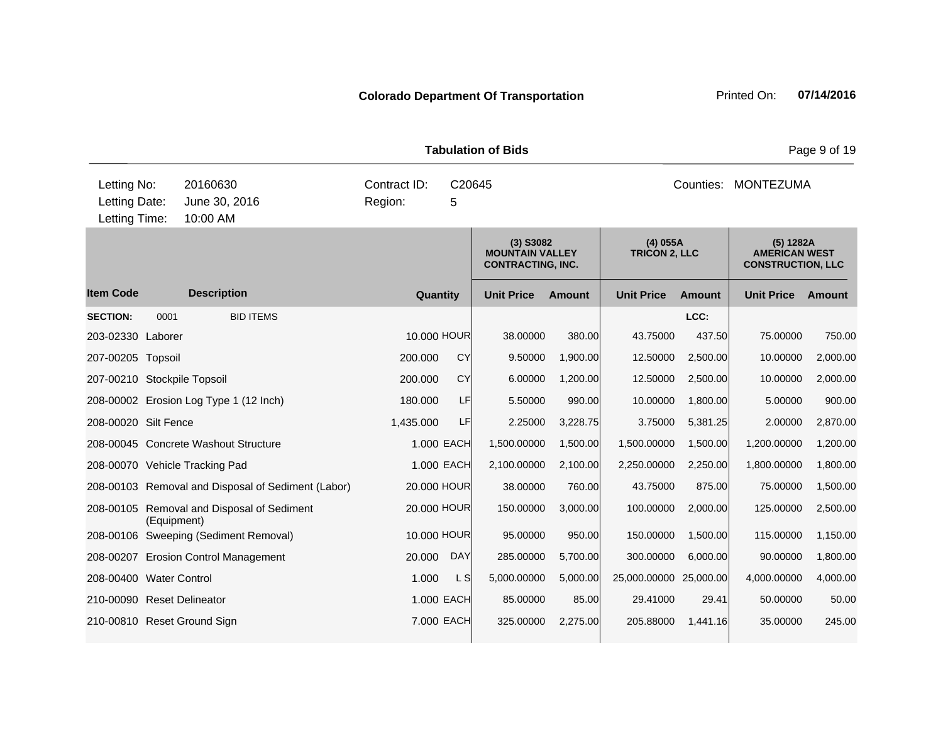|                                               |             |                                                    |                         | <b>Tabulation of Bids</b> |                                                                   | Page 9 of 19  |                                    |               |                                                               |               |
|-----------------------------------------------|-------------|----------------------------------------------------|-------------------------|---------------------------|-------------------------------------------------------------------|---------------|------------------------------------|---------------|---------------------------------------------------------------|---------------|
| Letting No:<br>Letting Date:<br>Letting Time: |             | 20160630<br>June 30, 2016<br>10:00 AM              | Contract ID:<br>Region: | C20645<br>5               |                                                                   |               |                                    | Counties:     | <b>MONTEZUMA</b>                                              |               |
|                                               |             |                                                    |                         |                           | $(3)$ S3082<br><b>MOUNTAIN VALLEY</b><br><b>CONTRACTING, INC.</b> |               | $(4)$ 055A<br><b>TRICON 2, LLC</b> |               | (5) 1282A<br><b>AMERICAN WEST</b><br><b>CONSTRUCTION, LLC</b> |               |
| <b>Item Code</b>                              |             | <b>Description</b>                                 | Quantity                |                           | <b>Unit Price</b>                                                 | <b>Amount</b> | <b>Unit Price</b>                  | <b>Amount</b> | <b>Unit Price</b>                                             | <b>Amount</b> |
| <b>SECTION:</b>                               | 0001        | <b>BID ITEMS</b>                                   |                         |                           |                                                                   |               |                                    | LCC:          |                                                               |               |
| 203-02330 Laborer                             |             |                                                    | 10.000 HOUR             |                           | 38.00000                                                          | 380.00        | 43.75000                           | 437.50        | 75.00000                                                      | 750.00        |
| 207-00205 Topsoil                             |             |                                                    | 200.000                 | CY                        | 9.50000                                                           | 1,900.00      | 12.50000                           | 2,500.00      | 10.00000                                                      | 2,000.00      |
| 207-00210 Stockpile Topsoil                   |             |                                                    | 200,000                 | CY                        | 6.00000                                                           | 1,200.00      | 12.50000                           | 2,500.00      | 10.00000                                                      | 2,000.00      |
|                                               |             | 208-00002 Erosion Log Type 1 (12 Inch)             | 180,000                 | LF                        | 5.50000                                                           | 990.00        | 10.00000                           | 1,800.00      | 5.00000                                                       | 900.00        |
| 208-00020 Silt Fence                          |             |                                                    | 1,435.000               | LF                        | 2.25000                                                           | 3,228.75      | 3.75000                            | 5,381.25      | 2.00000                                                       | 2,870.00      |
|                                               |             | 208-00045 Concrete Washout Structure               |                         | 1.000 EACH                | 1,500.00000                                                       | 1,500.00      | 1,500.00000                        | 1,500.00      | 1,200.00000                                                   | 1,200.00      |
|                                               |             | 208-00070 Vehicle Tracking Pad                     |                         | 1.000 EACH                | 2,100.00000                                                       | 2,100.00      | 2,250.00000                        | 2,250.00      | 1,800.00000                                                   | 1,800.00      |
|                                               |             | 208-00103 Removal and Disposal of Sediment (Labor) | 20.000 HOUR             |                           | 38.00000                                                          | 760.00        | 43.75000                           | 875.00        | 75.00000                                                      | 1,500.00      |
|                                               | (Equipment) | 208-00105 Removal and Disposal of Sediment         | 20.000 HOUR             |                           | 150.00000                                                         | 3,000.00      | 100.00000                          | 2,000.00      | 125.00000                                                     | 2,500.00      |
|                                               |             | 208-00106 Sweeping (Sediment Removal)              | 10.000 HOUR             |                           | 95.00000                                                          | 950.00        | 150.00000                          | 1,500.00      | 115.00000                                                     | 1,150.00      |
| 208-00207                                     |             | <b>Erosion Control Management</b>                  | 20.000                  | <b>DAY</b>                | 285.00000                                                         | 5,700.00      | 300.00000                          | 6,000.00      | 90.00000                                                      | 1,800.00      |
| 208-00400 Water Control                       |             |                                                    | 1.000                   | L S                       | 5,000.00000                                                       | 5,000.00      | 25,000.00000 25,000.00             |               | 4,000.00000                                                   | 4,000.00      |
| 210-00090 Reset Delineator                    |             |                                                    |                         | 1.000 EACH                | 85.00000                                                          | 85.00         | 29.41000                           | 29.41         | 50.00000                                                      | 50.00         |
| 210-00810 Reset Ground Sign                   |             |                                                    |                         | 7.000 EACH                | 325,00000                                                         | 2,275.00      | 205.88000                          | 1,441.16      | 35.00000                                                      | 245.00        |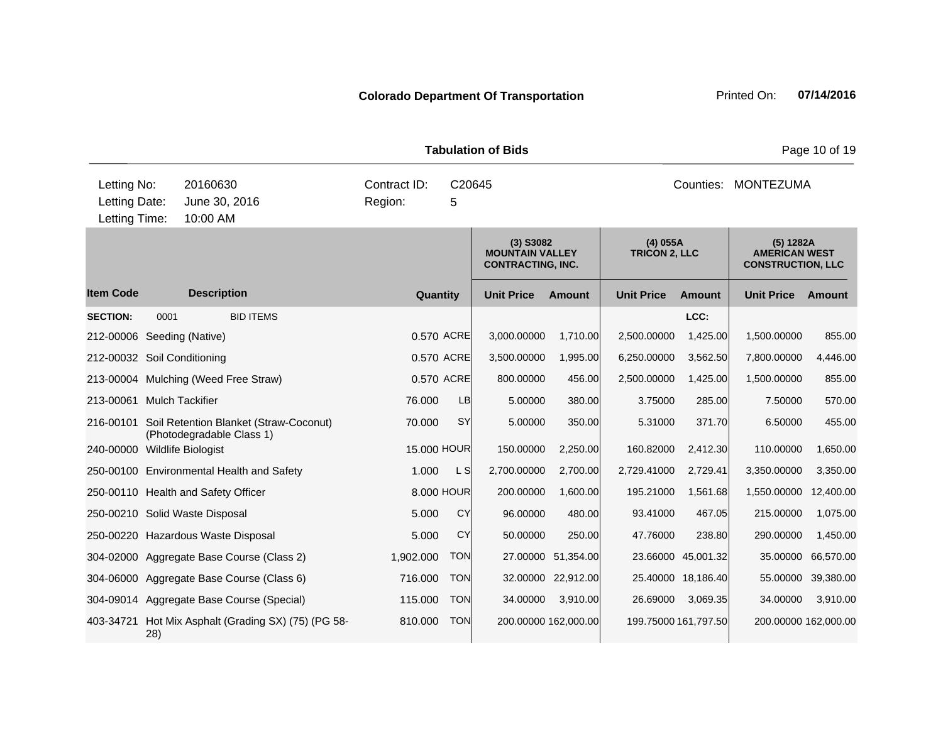|                                               |      |                                                     |                         |                     | <b>Tabulation of Bids</b>                                         | Page 10 of 19          |                                    |                      |                                                               |                      |
|-----------------------------------------------|------|-----------------------------------------------------|-------------------------|---------------------|-------------------------------------------------------------------|------------------------|------------------------------------|----------------------|---------------------------------------------------------------|----------------------|
| Letting No:<br>Letting Date:<br>Letting Time: |      | 20160630<br>June 30, 2016<br>10:00 AM               | Contract ID:<br>Region: | C20645              |                                                                   | Counties:<br>MONTEZUMA |                                    |                      |                                                               |                      |
|                                               |      |                                                     |                         |                     | $(3)$ S3082<br><b>MOUNTAIN VALLEY</b><br><b>CONTRACTING, INC.</b> |                        | $(4)$ 055A<br><b>TRICON 2, LLC</b> |                      | (5) 1282A<br><b>AMERICAN WEST</b><br><b>CONSTRUCTION, LLC</b> |                      |
| <b>Item Code</b>                              |      | <b>Description</b>                                  | Quantity                |                     | <b>Unit Price</b>                                                 | <b>Amount</b>          | <b>Unit Price</b>                  | <b>Amount</b>        | <b>Unit Price</b>                                             | Amount               |
| <b>SECTION:</b>                               | 0001 | <b>BID ITEMS</b>                                    |                         |                     |                                                                   |                        |                                    | LCC:                 |                                                               |                      |
| 212-00006                                     |      | Seeding (Native)                                    |                         | 0.570 ACRE          | 3,000.00000                                                       | 1,710.00               | 2,500.00000                        | 1,425.00             | 1,500.00000                                                   | 855.00               |
| 212-00032 Soil Conditioning                   |      |                                                     |                         | 0.570 ACRE          | 3,500.00000                                                       | 1,995.00               | 6,250.00000                        | 3,562.50             | 7,800.00000                                                   | 4,446.00             |
|                                               |      | 213-00004 Mulching (Weed Free Straw)                |                         | 0.570 ACRE          | 800.00000                                                         | 456.00                 | 2,500.00000                        | 1,425.00             | 1,500.00000                                                   | 855.00               |
| 213-00061                                     |      | <b>Mulch Tackifier</b>                              | 76.000                  | LB                  | 5.00000                                                           | 380.00                 | 3.75000                            | 285.00               | 7.50000                                                       | 570.00               |
| 216-00101                                     |      | Soil Retention Blanket (Straw-Coconut)              | 70.000                  | SY                  | 5.00000                                                           | 350.00                 | 5.31000                            | 371.70               | 6.50000                                                       | 455.00               |
| 240-00000 Wildlife Biologist                  |      | (Photodegradable Class 1)                           | 15.000 HOUR             |                     | 150.00000                                                         | 2,250.00               | 160.82000                          | 2,412.30             | 110.00000                                                     | 1,650.00             |
|                                               |      | 250-00100 Environmental Health and Safety           | 1.000                   | $\lfloor S \rfloor$ | 2,700.00000                                                       | 2,700.00               | 2,729.41000                        | 2,729.41             | 3,350.00000                                                   | 3,350.00             |
|                                               |      | 250-00110 Health and Safety Officer                 |                         | 8.000 HOUR          | 200.00000                                                         | 1,600.00               | 195.21000                          | 1,561.68             | 1,550.00000                                                   | 12,400.00            |
|                                               |      | 250-00210 Solid Waste Disposal                      | 5.000                   | CY                  | 96.00000                                                          | 480.00                 | 93.41000                           | 467.05               | 215.00000                                                     | 1,075.00             |
|                                               |      | 250-00220 Hazardous Waste Disposal                  | 5.000                   | <b>CY</b>           | 50.00000                                                          | 250.00                 | 47.76000                           | 238.80               | 290.00000                                                     | 1,450.00             |
|                                               |      | 304-02000 Aggregate Base Course (Class 2)           | 1,902.000               | <b>TON</b>          | 27.00000                                                          | 51,354.00              |                                    | 23.66000 45,001.32   | 35.00000                                                      | 66,570.00            |
|                                               |      | 304-06000 Aggregate Base Course (Class 6)           | 716.000                 | <b>TON</b>          |                                                                   | 32.00000 22,912.00     |                                    | 25.40000 18,186.40   | 55.00000                                                      | 39,380.00            |
|                                               |      | 304-09014 Aggregate Base Course (Special)           | 115.000                 | <b>TON</b>          | 34.00000                                                          | 3,910.00               | 26.69000                           | 3,069.35             | 34.00000                                                      | 3,910.00             |
|                                               |      | 403-34721 Hot Mix Asphalt (Grading SX) (75) (PG 58- | 810.000                 | <b>TON</b>          |                                                                   | 200.00000 162,000.00   |                                    | 199.75000 161,797.50 |                                                               | 200.00000 162,000.00 |

28)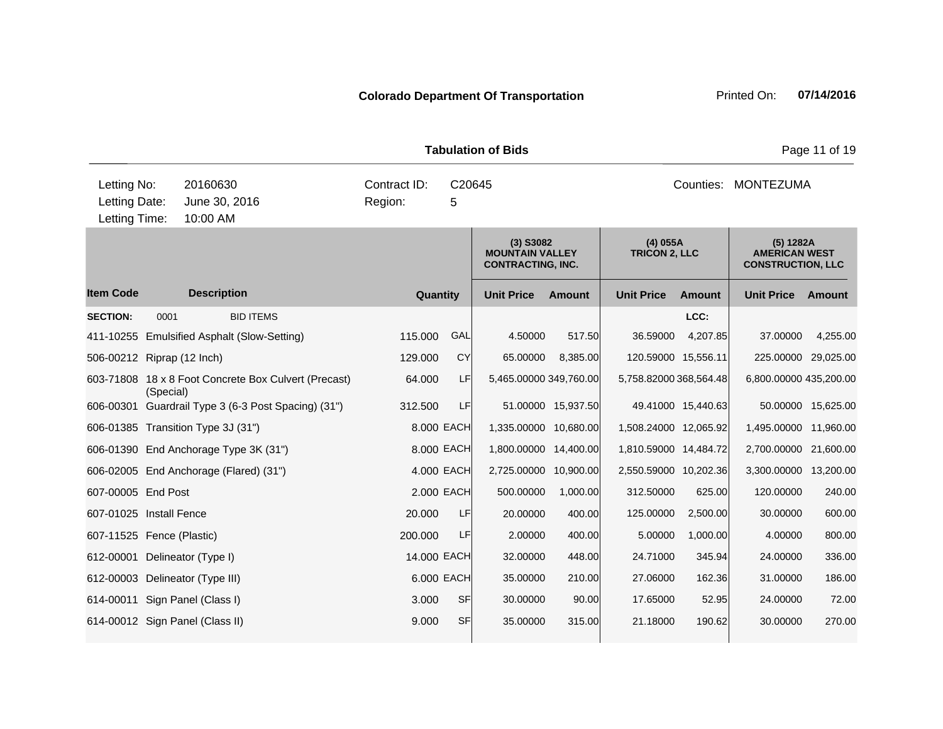|                                               |           |                                                      |                         |             | <b>Tabulation of Bids</b>                                         | Page 11 of 19      |                                    |                    |                                                               |                    |
|-----------------------------------------------|-----------|------------------------------------------------------|-------------------------|-------------|-------------------------------------------------------------------|--------------------|------------------------------------|--------------------|---------------------------------------------------------------|--------------------|
| Letting No:<br>Letting Date:<br>Letting Time: |           | 20160630<br>June 30, 2016<br>10:00 AM                | Contract ID:<br>Region: | C20645<br>5 |                                                                   |                    |                                    |                    | Counties: MONTEZUMA                                           |                    |
|                                               |           |                                                      |                         |             | $(3)$ S3082<br><b>MOUNTAIN VALLEY</b><br><b>CONTRACTING, INC.</b> |                    | $(4)$ 055A<br><b>TRICON 2, LLC</b> |                    | (5) 1282A<br><b>AMERICAN WEST</b><br><b>CONSTRUCTION, LLC</b> |                    |
| <b>Item Code</b>                              |           | <b>Description</b>                                   | Quantity                |             | <b>Unit Price</b>                                                 | <b>Amount</b>      | <b>Unit Price</b>                  | <b>Amount</b>      | <b>Unit Price</b>                                             | Amount             |
| <b>SECTION:</b>                               | 0001      | <b>BID ITEMS</b>                                     |                         |             |                                                                   |                    |                                    | LCC:               |                                                               |                    |
|                                               |           | 411-10255 Emulsified Asphalt (Slow-Setting)          | 115.000                 | GAL         | 4.50000                                                           | 517.50             | 36.59000                           | 4,207.85           | 37,00000                                                      | 4,255.00           |
| 506-00212 Riprap (12 Inch)                    |           |                                                      | 129.000                 | CY          | 65.00000                                                          | 8,385.00           | 120.59000 15,556.11                |                    | 225.00000 29,025.00                                           |                    |
|                                               | (Special) | 603-71808 18 x 8 Foot Concrete Box Culvert (Precast) | 64.000                  | LF          | 5,465.00000 349,760.00                                            |                    | 5,758.82000 368,564.48             |                    | 6,800.00000 435,200.00                                        |                    |
|                                               |           | 606-00301 Guardrail Type 3 (6-3 Post Spacing) (31")  | 312.500                 | LF          |                                                                   | 51.00000 15,937.50 |                                    | 49.41000 15,440.63 |                                                               | 50.00000 15,625.00 |
|                                               |           | 606-01385 Transition Type 3J (31")                   |                         | 8.000 EACH  | 1,335.00000 10,680.00                                             |                    | 1,508.24000 12,065.92              |                    | 1,495.00000                                                   | 11,960.00          |
|                                               |           | 606-01390 End Anchorage Type 3K (31")                |                         | 8.000 EACH  | 1,800.00000 14,400.00                                             |                    | 1,810.59000 14,484.72              |                    | 2,700.00000                                                   | 21,600.00          |
|                                               |           | 606-02005 End Anchorage (Flared) (31")               | 4.000 EACH              |             | 2,725.00000 10,900.00                                             |                    | 2,550.59000 10,202.36              |                    | 3,300.00000                                                   | 13,200.00          |
| 607-00005 End Post                            |           |                                                      |                         | 2.000 EACH  | 500.00000                                                         | 1,000.00           | 312.50000                          | 625.00             | 120.00000                                                     | 240.00             |
| 607-01025 Install Fence                       |           |                                                      | 20.000                  | LF          | 20.00000                                                          | 400.00             | 125.00000                          | 2,500.00           | 30.00000                                                      | 600.00             |
| 607-11525 Fence (Plastic)                     |           |                                                      | 200.000                 | LF          | 2.00000                                                           | 400.00             | 5.00000                            | 1,000.00           | 4.00000                                                       | 800.00             |
| 612-00001 Delineator (Type I)                 |           |                                                      | 14.000 EACH             |             | 32.00000                                                          | 448.00             | 24.71000                           | 345.94             | 24.00000                                                      | 336.00             |
|                                               |           | 612-00003 Delineator (Type III)                      | 6,000 EACH              |             | 35.00000                                                          | 210.00             | 27.06000                           | 162.36             | 31.00000                                                      | 186.00             |
|                                               |           | 614-00011 Sign Panel (Class I)                       | 3.000                   | <b>SF</b>   | 30.00000                                                          | 90.00              | 17.65000                           | 52.95              | 24.00000                                                      | 72.00              |
|                                               |           | 614-00012 Sign Panel (Class II)                      | 9.000                   | <b>SF</b>   | 35.00000                                                          | 315.00             | 21.18000                           | 190.62             | 30.00000                                                      | 270.00             |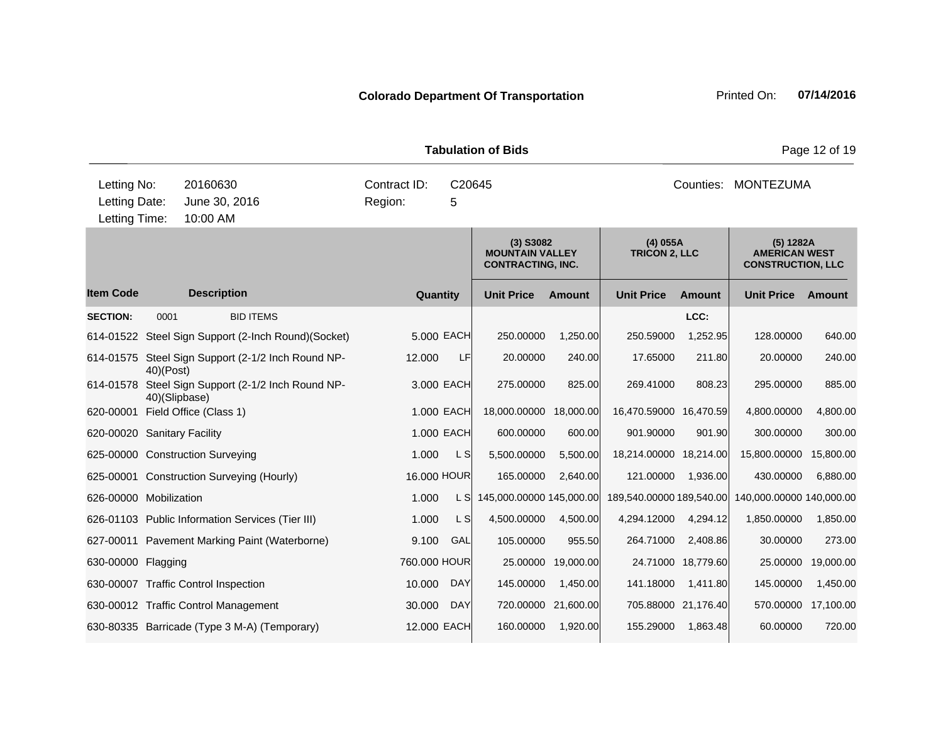| <b>Tabulation of Bids</b>                     |               |                                                     |                         |             |                                                                                                         |                    |                                                               |                    |                          | Page 12 of 19 |
|-----------------------------------------------|---------------|-----------------------------------------------------|-------------------------|-------------|---------------------------------------------------------------------------------------------------------|--------------------|---------------------------------------------------------------|--------------------|--------------------------|---------------|
| Letting No:<br>Letting Date:<br>Letting Time: |               | 20160630<br>June 30, 2016<br>10:00 AM               | Contract ID:<br>Region: | C20645<br>5 |                                                                                                         |                    |                                                               | Counties:          | MONTEZUMA                |               |
|                                               |               |                                                     |                         |             | $(4)$ 055A<br>$(3)$ S3082<br><b>MOUNTAIN VALLEY</b><br><b>TRICON 2, LLC</b><br><b>CONTRACTING, INC.</b> |                    | (5) 1282A<br><b>AMERICAN WEST</b><br><b>CONSTRUCTION, LLC</b> |                    |                          |               |
| <b>Item Code</b>                              |               | <b>Description</b>                                  | Quantity                |             | <b>Unit Price</b>                                                                                       | <b>Amount</b>      | <b>Unit Price</b>                                             | <b>Amount</b>      | <b>Unit Price</b>        | Amount        |
| <b>SECTION:</b>                               | 0001          | <b>BID ITEMS</b>                                    |                         |             |                                                                                                         |                    |                                                               | LCC:               |                          |               |
|                                               |               | 614-01522 Steel Sign Support (2-Inch Round)(Socket) |                         | 5.000 EACH  | 250.00000                                                                                               | 1,250.00           | 250.59000                                                     | 1,252.95           | 128.00000                | 640.00        |
|                                               | $40$ $(Post)$ | 614-01575 Steel Sign Support (2-1/2 Inch Round NP-  | 12.000                  | LF          | 20.00000                                                                                                | 240.00             | 17.65000                                                      | 211.80             | 20.00000                 | 240.00        |
| 614-01578                                     | 40)(Slipbase) | Steel Sign Support (2-1/2 Inch Round NP-            |                         | 3.000 EACH  | 275.00000                                                                                               | 825.00             | 269.41000                                                     | 808.23             | 295.00000                | 885.00        |
| 620-00001                                     |               | Field Office (Class 1)                              |                         | 1.000 EACH  | 18,000.00000                                                                                            | 18,000.00          | 16,470.59000 16,470.59                                        |                    | 4,800.00000              | 4,800.00      |
| 620-00020 Sanitary Facility                   |               |                                                     |                         | 1.000 EACH  | 600.00000                                                                                               | 600.00             | 901.90000                                                     | 901.90             | 300.00000                | 300.00        |
|                                               |               | 625-00000 Construction Surveying                    | 1.000                   | L S         | 5,500.00000                                                                                             | 5,500.00           | 18,214.00000 18,214.00                                        |                    | 15,800.00000             | 15,800.00     |
|                                               |               | 625-00001 Construction Surveying (Hourly)           | 16.000 HOUR             |             | 165.00000                                                                                               | 2,640.00           | 121.00000                                                     | 1,936.00           | 430.00000                | 6,880.00      |
| 626-00000 Mobilization                        |               |                                                     | 1.000                   | L SI        | 145,000.00000 145,000.00                                                                                |                    | 189,540.00000 189,540.00                                      |                    | 140,000.00000 140,000.00 |               |
|                                               |               | 626-01103 Public Information Services (Tier III)    | 1.000                   | L S         | 4,500.00000                                                                                             | 4,500.00           | 4,294.12000                                                   | 4,294.12           | 1,850.00000              | 1,850.00      |
|                                               |               | 627-00011 Pavement Marking Paint (Waterborne)       | 9.100                   | GAL         | 105.00000                                                                                               | 955.50             | 264.71000                                                     | 2,408.86           | 30.00000                 | 273.00        |
| 630-00000 Flagging                            |               |                                                     | 760,000 HOUR            |             |                                                                                                         | 25.00000 19,000.00 |                                                               | 24.71000 18,779.60 | 25.00000                 | 19,000.00     |

630-00007 Traffic Control Inspection 10.000 DAY 145.00000 1,450.00 141.18000 1,411.80 145.00000 1,450.00 630-00012 Traffic Control Management 30.000 DAY 720.00000 21,600.00 705.88000 21,176.40 570.00000 17,100.00 630-80335 Barricade (Type 3 M-A) (Temporary) 12.000 EACH 160.00000 1,920.00 155.29000 1,863.48 60.00000 720.00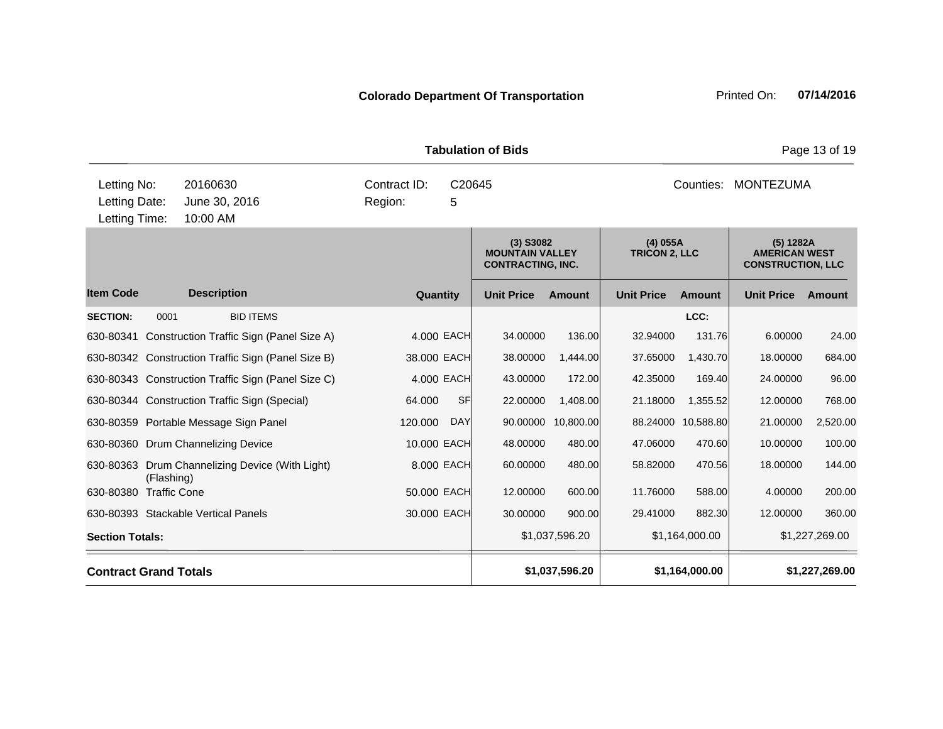|                                               |                     |                                                                                                         |                                  |             | <b>Tabulation of Bids</b>                                     |                |                   | Page 13 of 19  |                   |                |
|-----------------------------------------------|---------------------|---------------------------------------------------------------------------------------------------------|----------------------------------|-------------|---------------------------------------------------------------|----------------|-------------------|----------------|-------------------|----------------|
| Letting No:<br>Letting Date:<br>Letting Time: |                     | 20160630<br>June 30, 2016<br>10:00 AM                                                                   | Contract ID:<br>Region:          | C20645<br>5 |                                                               |                |                   | Counties:      | <b>MONTEZUMA</b>  |                |
|                                               |                     | $(4)$ 055A<br>$(3)$ S3082<br><b>TRICON 2, LLC</b><br><b>MOUNTAIN VALLEY</b><br><b>CONTRACTING, INC.</b> |                                  |             | (5) 1282A<br><b>AMERICAN WEST</b><br><b>CONSTRUCTION, LLC</b> |                |                   |                |                   |                |
| <b>Item Code</b>                              |                     | <b>Description</b>                                                                                      | Quantity                         |             | <b>Unit Price</b>                                             | <b>Amount</b>  | <b>Unit Price</b> | <b>Amount</b>  | <b>Unit Price</b> | Amount         |
| <b>SECTION:</b>                               | 0001                | <b>BID ITEMS</b>                                                                                        |                                  |             |                                                               |                |                   | LCC:           |                   |                |
|                                               |                     | 630-80341 Construction Traffic Sign (Panel Size A)                                                      |                                  | 4.000 EACH  | 34.00000                                                      | 136.00         | 32.94000          | 131.76         | 6.00000           | 24.00          |
|                                               |                     | 630-80342 Construction Traffic Sign (Panel Size B)                                                      | 38.000 EACH                      |             | 38.00000                                                      | 1,444.00       | 37.65000          | 1,430.70       | 18.00000          | 684.00         |
|                                               |                     | 630-80343 Construction Traffic Sign (Panel Size C)                                                      |                                  | 4.000 EACH  | 43.00000                                                      | 172.00         | 42.35000          | 169.40         | 24.00000          | 96.00          |
|                                               |                     | 630-80344 Construction Traffic Sign (Special)                                                           | 64.000                           | <b>SF</b>   | 22.00000                                                      | 1,408.00       | 21.18000          | 1,355.52       | 12.00000          | 768.00         |
|                                               |                     | 630-80359 Portable Message Sign Panel                                                                   | 120.000                          | <b>DAY</b>  | 90.00000                                                      | 10,800.00      | 88.24000          | 10,588.80      | 21.00000          | 2,520.00       |
|                                               |                     | 630-80360 Drum Channelizing Device                                                                      | 10.000 EACH                      |             | 48.00000                                                      | 480.00         | 47.06000          | 470.60         | 10.00000          | 100.00         |
| 630-80363                                     | (Flashing)          | Drum Channelizing Device (With Light)                                                                   |                                  | 8.000 EACH  | 60.00000                                                      | 480.00         | 58.82000          | 470.56         | 18.00000          | 144.00         |
| 630-80380                                     | <b>Traffic Cone</b> |                                                                                                         | 50.000 EACH                      |             | 12.00000                                                      | 600.00         | 11.76000          | 588.00         | 4.00000           | 200.00         |
|                                               |                     | 630-80393 Stackable Vertical Panels                                                                     | 30.000 EACH                      |             | 30.00000                                                      | 900.00         | 29.41000          | 882.30         | 12.00000          | 360.00         |
| <b>Section Totals:</b>                        |                     |                                                                                                         | \$1,037,596.20<br>\$1,164,000.00 |             |                                                               |                |                   |                | \$1,227,269.00    |                |
| <b>Contract Grand Totals</b>                  |                     |                                                                                                         |                                  |             |                                                               | \$1,037,596.20 |                   | \$1,164,000.00 |                   | \$1,227,269.00 |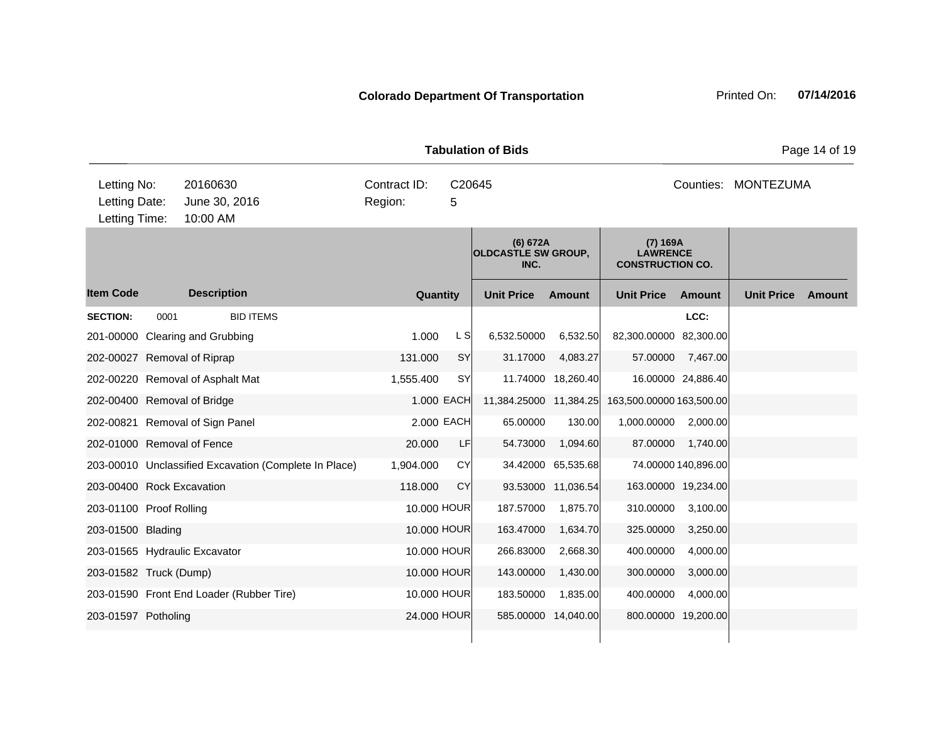**Quantity Unit Price Unit Price Item Code Amount Unit Price Amount Ext Ext Unit Price Amount Ext (6) 672A OLDCASTLE SW GROUP, INC. (7) 169A LAWRENCE CONSTRUCTION CO. Description SECTION:** 0001 BID ITEMS **LCC:** 201-00000 Clearing and Grubbing 1.000 L S 6,532.50000 6,532.50 82,300.00000 82,300.00 202-00027 Removal of Riprap 131.000 SY 31.17000 4,083.27 57.00000 7,467.00 202-00220 Removal of Asphalt Mat 1,555.400 SY 11.74000 18,260.40 16.00000 24,886.40 202-00400 Removal of Bridge 1.000 EACH 11,384.25000 11,384.25 163,500.00000 163,500.00 202-00821 Removal of Sign Panel 2.000 EACH 65.00000 130.00 1,000.00000 2,000.00 202-01000 Removal of Fence 20.000 LF 54.73000 1,094.60 87.00000 1,740.00 203-00010 Unclassified Excavation (Complete In Place) 1,904.000 CY 34.42000 65,535.68 74.00000 140,896.00 203-00400 Rock Excavation 118.000 CY 93.53000 11,036.54 163.00000 19,234.00 203-01100 Proof Rolling 10.000 HOUR 187.57000 1,875.70 310.00000 3,100.00 203-01500 Blading 10.000 HOUR 163.47000 1,634.70 325.00000 3,250.00 203-01565 Hydraulic Excavator 10.000 HOUR 266.83000 2,668.30 400.00000 4,000.00 203-01582 Truck (Dump) 10.000 HOUR 143.00000 1,430.00 300.0000 3,000.00 203-01590 Front End Loader (Rubber Tire) 10.000 HOUR 183.50000 1,835.00 400.00000 4,000.00 203-01597 Potholing 24.000 HOUR 585.00000 14,040.00 800.00000 19,200.00 10:00 AM Counties: MONTEZUMA Letting Date: June 30, 2016 **5** Region: 5 C20645 Region: Letting Time: Letting No: 20160630 Contract ID: Counties:

**Tabulation of Bids** Page 14 of 19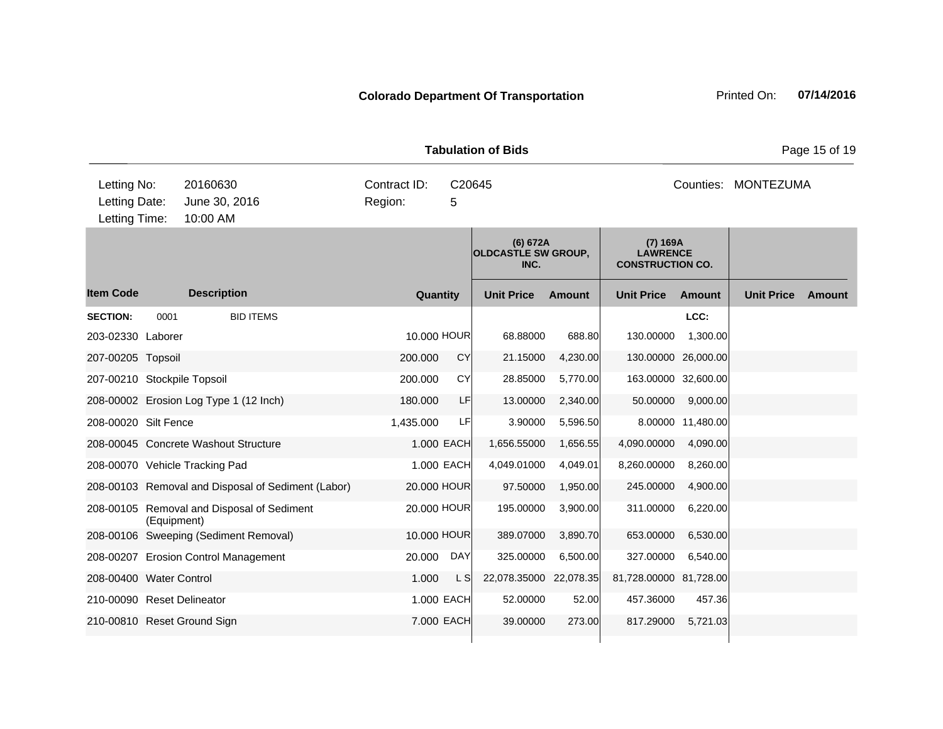| <b>Tabulation of Bids</b><br>Page 15 of 19    |             |                                                    |                         |             |                                                |          |                                                        |                     |                     |        |  |
|-----------------------------------------------|-------------|----------------------------------------------------|-------------------------|-------------|------------------------------------------------|----------|--------------------------------------------------------|---------------------|---------------------|--------|--|
| Letting No:<br>Letting Date:<br>Letting Time: |             | 20160630<br>June 30, 2016<br>10:00 AM              | Contract ID:<br>Region: | C20645<br>5 |                                                |          |                                                        |                     | Counties: MONTEZUMA |        |  |
|                                               |             |                                                    |                         |             | (6) 672A<br><b>OLDCASTLE SW GROUP,</b><br>INC. |          | (7) 169A<br><b>LAWRENCE</b><br><b>CONSTRUCTION CO.</b> |                     |                     |        |  |
| <b>Item Code</b>                              |             | <b>Description</b>                                 | Quantity                |             | <b>Unit Price</b>                              | Amount   | <b>Unit Price</b>                                      | <b>Amount</b>       | <b>Unit Price</b>   | Amount |  |
| <b>SECTION:</b>                               | 0001        | <b>BID ITEMS</b>                                   |                         |             |                                                |          |                                                        | LCC:                |                     |        |  |
| 203-02330 Laborer                             |             |                                                    | 10.000 HOUR             |             | 68.88000                                       | 688.80   | 130.00000                                              | 1,300.00            |                     |        |  |
| 207-00205 Topsoil                             |             |                                                    | 200.000                 | <b>CY</b>   | 21.15000                                       | 4,230.00 |                                                        | 130.00000 26,000.00 |                     |        |  |
| 207-00210 Stockpile Topsoil                   |             |                                                    | 200.000                 | CY          | 28.85000                                       | 5,770.00 |                                                        | 163.00000 32,600.00 |                     |        |  |
|                                               |             | 208-00002 Erosion Log Type 1 (12 Inch)             | 180.000                 | LF          | 13.00000                                       | 2,340.00 | 50.00000                                               | 9,000.00            |                     |        |  |
| 208-00020 Silt Fence                          |             |                                                    | 1,435.000               | LF          | 3.90000                                        | 5,596.50 |                                                        | 8.00000 11,480.00   |                     |        |  |
|                                               |             | 208-00045 Concrete Washout Structure               |                         | 1.000 EACH  | 1,656.55000                                    | 1,656.55 | 4,090.00000                                            | 4,090.00            |                     |        |  |
|                                               |             | 208-00070 Vehicle Tracking Pad                     |                         | 1.000 EACH  | 4,049.01000                                    | 4,049.01 | 8,260.00000                                            | 8,260.00            |                     |        |  |
|                                               |             | 208-00103 Removal and Disposal of Sediment (Labor) | 20.000 HOUR             |             | 97.50000                                       | 1,950.00 | 245.00000                                              | 4,900.00            |                     |        |  |
|                                               | (Equipment) | 208-00105 Removal and Disposal of Sediment         | 20,000 HOUR             |             | 195.00000                                      | 3,900.00 | 311.00000                                              | 6,220.00            |                     |        |  |
|                                               |             | 208-00106 Sweeping (Sediment Removal)              | 10.000 HOUR             |             | 389.07000                                      | 3,890.70 | 653.00000                                              | 6,530.00            |                     |        |  |
|                                               |             | 208-00207 Erosion Control Management               | 20.000                  | DAY         | 325.00000                                      | 6,500.00 | 327.00000                                              | 6,540.00            |                     |        |  |
| 208-00400 Water Control                       |             |                                                    | 1.000                   | L S         | 22,078.35000 22,078.35                         |          | 81,728.00000 81,728.00                                 |                     |                     |        |  |
| 210-00090 Reset Delineator                    |             |                                                    |                         | 1.000 EACH  | 52.00000                                       | 52.00    | 457.36000                                              | 457.36              |                     |        |  |
|                                               |             | 210-00810 Reset Ground Sign                        |                         | 7.000 EACH  | 39.00000                                       | 273.00   | 817.29000                                              | 5,721.03            |                     |        |  |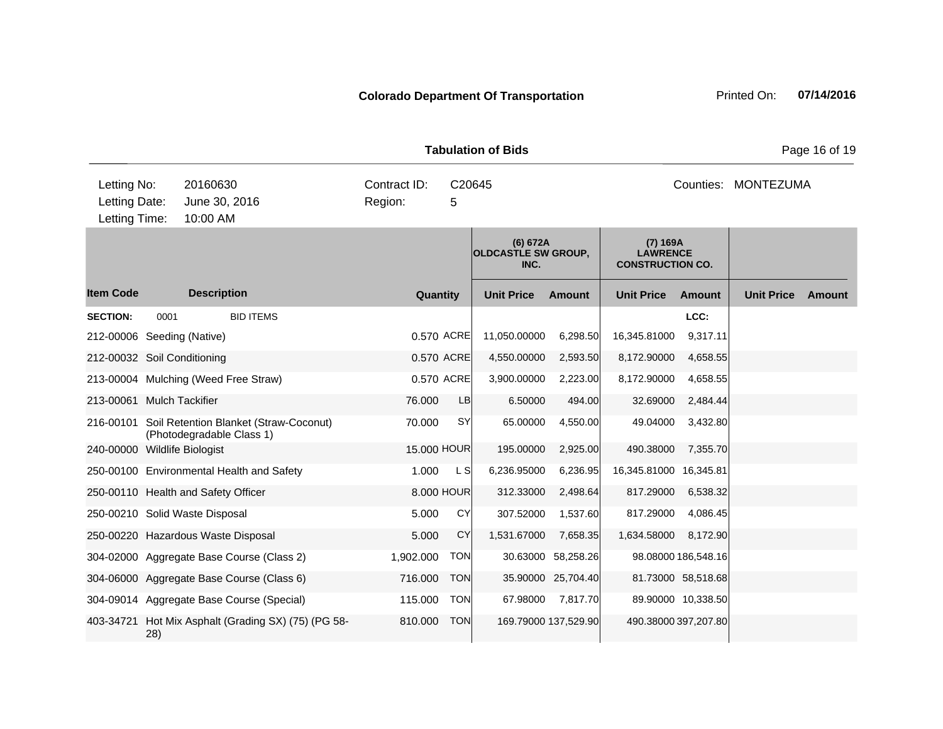| <b>Tabulation of Bids</b><br>Page 16 of 19    |      |                                                                     |                         |             |                                                |               |                                                        |                     |                     |        |
|-----------------------------------------------|------|---------------------------------------------------------------------|-------------------------|-------------|------------------------------------------------|---------------|--------------------------------------------------------|---------------------|---------------------|--------|
| Letting No:<br>Letting Date:<br>Letting Time: |      | 20160630<br>June 30, 2016<br>10:00 AM                               | Contract ID:<br>Region: | C20645<br>5 |                                                |               |                                                        |                     | Counties: MONTEZUMA |        |
|                                               |      |                                                                     |                         |             | (6) 672A<br><b>OLDCASTLE SW GROUP,</b><br>INC. |               | (7) 169A<br><b>LAWRENCE</b><br><b>CONSTRUCTION CO.</b> |                     |                     |        |
| <b>Item Code</b>                              |      | <b>Description</b>                                                  |                         | Quantity    | <b>Unit Price</b>                              | <b>Amount</b> | <b>Unit Price</b>                                      | <b>Amount</b>       | <b>Unit Price</b>   | Amount |
| <b>SECTION:</b>                               | 0001 | <b>BID ITEMS</b>                                                    |                         |             |                                                |               |                                                        | LCC:                |                     |        |
| 212-00006 Seeding (Native)                    |      |                                                                     |                         | 0.570 ACRE  | 11,050.00000                                   | 6,298.50      | 16,345.81000                                           | 9,317.11            |                     |        |
| 212-00032 Soil Conditioning                   |      |                                                                     |                         | 0.570 ACRE  | 4,550.00000                                    | 2,593.50      | 8,172.90000                                            | 4,658.55            |                     |        |
|                                               |      | 213-00004 Mulching (Weed Free Straw)                                |                         | 0.570 ACRE  | 3,900.00000                                    | 2,223.00      | 8,172.90000                                            | 4,658.55            |                     |        |
| 213-00061 Mulch Tackifier                     |      |                                                                     | 76.000                  | LB          | 6.50000                                        | 494.00        | 32.69000                                               | 2,484.44            |                     |        |
| 216-00101                                     |      | Soil Retention Blanket (Straw-Coconut)<br>(Photodegradable Class 1) | 70.000                  | <b>SY</b>   | 65.00000                                       | 4,550.00      | 49.04000                                               | 3,432.80            |                     |        |
| 240-00000 Wildlife Biologist                  |      |                                                                     |                         | 15.000 HOUR | 195.00000                                      | 2,925.00      | 490.38000                                              | 7,355.70            |                     |        |
|                                               |      | 250-00100 Environmental Health and Safety                           | 1.000                   | L SI        | 6,236.95000                                    | 6,236.95      | 16,345.81000 16,345.81                                 |                     |                     |        |
|                                               |      | 250-00110 Health and Safety Officer                                 |                         | 8.000 HOUR  | 312.33000                                      | 2,498.64      | 817.29000                                              | 6,538.32            |                     |        |
| 250-00210 Solid Waste Disposal                |      |                                                                     | 5.000                   | CY          | 307.52000                                      | 1,537.60      | 817.29000                                              | 4,086.45            |                     |        |
|                                               |      | 250-00220 Hazardous Waste Disposal                                  | 5.000                   | CY          | 1,531.67000                                    | 7,658.35      | 1,634.58000                                            | 8,172.90            |                     |        |
|                                               |      | 304-02000 Aggregate Base Course (Class 2)                           | 1,902.000               | <b>TON</b>  | 30.63000                                       | 58,258.26     |                                                        | 98.08000 186,548.16 |                     |        |

810.000 TON 169.79000 137,529.90 490.38000 397,207.80

304-06000 Aggregate Base Course (Class 6) 716.000 TON 35.90000 25,704.40 81.73000 58,518.68 304-09014 Aggregate Base Course (Special) 115.000 TON 67.98000 7,817.70 89.90000 10,338.50

403-34721 Hot Mix Asphalt (Grading SX) (75) (PG 58-

28)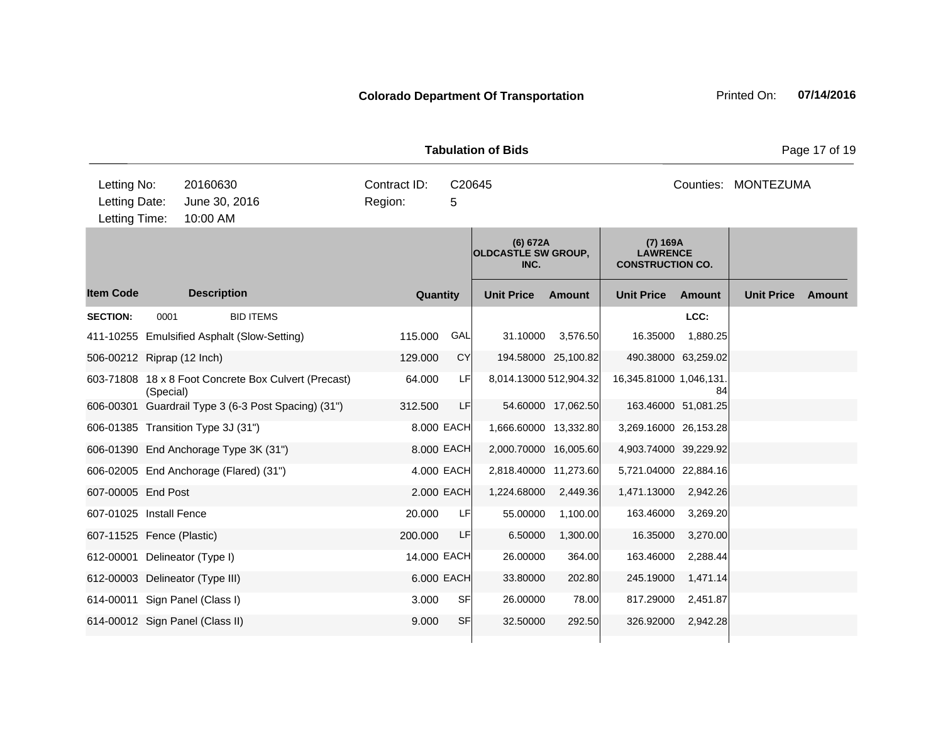|                        |               |              | <b>Tabulation of Bids</b>                                           |                                | Page                |
|------------------------|---------------|--------------|---------------------------------------------------------------------|--------------------------------|---------------------|
| Letting No:            | 20160630      | Contract ID: | C20645                                                              |                                | Counties: MONTEZUMA |
| Letting Date:          | June 30, 2016 | Region:      | 5                                                                   |                                |                     |
| Letting Time: 10:00 AM |               |              |                                                                     |                                |                     |
|                        |               |              | (6) 672A<br>$A$ $A$ $A$ $B$ $B$ $F$ $F$ $B$ $M$ $A$ $B$ $A$ $H$ $B$ | (7) 169A<br><b>I AVAIDFMOF</b> |                     |

**Quantity Unit Price Unit Price Item Code Amount Unit Price Amount Ext Ext Unit Price Amount Ext OLDCASTLE SW GROUP, INC. LAWRENCE CONSTRUCTION CO. Description SECTION:** 0001 BID ITEMS **LCC:** 411-10255 Emulsified Asphalt (Slow-Setting) 115.000 GAL 31.10000 3,576.50 16.35000 1,880.25 506-00212 Riprap (12 Inch) 129.000 CY 194.58000 25,100.82 490.38000 63,259.02 603-71808 18 x 8 Foot Concrete Box Culvert (Precast) (Special) 64.000 LF 8,014.13000 512,904.32 16,345.81000 1,046,131. 84 606-00301 Guardrail Type 3 (6-3 Post Spacing) (31") 312.500 LF 54.60000 17,062.50 163.46000 51,081.25 606-01385 Transition Type 3J (31") 8.000 EACH 1,666.60000 13,332.80 3,269.16000 26,153.28 606-01390 End Anchorage Type 3K (31") 8.000 EACH 2,000.70000 16,005.60 4,903.74000 39,229.92 606-02005 End Anchorage (Flared) (31") 4.000 EACH 2,818.40000 11,273.60 5,721.04000 22,884.16 607-00005 End Post 2.000 EACH 1,224.68000 2,449.36 1,471.13000 2,942.26 607-01025 Install Fence 20.000 LF 55.00000 1,100.00 163.46000 3,269.20 607-11525 Fence (Plastic) 200.000 LF 6.50000 1,300.00 16.35000 3,270.00 612-00001 Delineator (Type I) 14.000 EACH 26.00000 364.00 163.46000 2,288.44 612-00003 Delineator (Type III) 6.000 EACH 33.80000 202.80 245.19000 1,471.14 614-00011 Sign Panel (Class I) 3.000 SF 26.00000 78.00 817.29000 2,451.87 614-00012 Sign Panel (Class II) 32.5000 SF 32.50000 392.50 326.92000 2,942.28  $10$ Letting Time:

**e** 17 of 19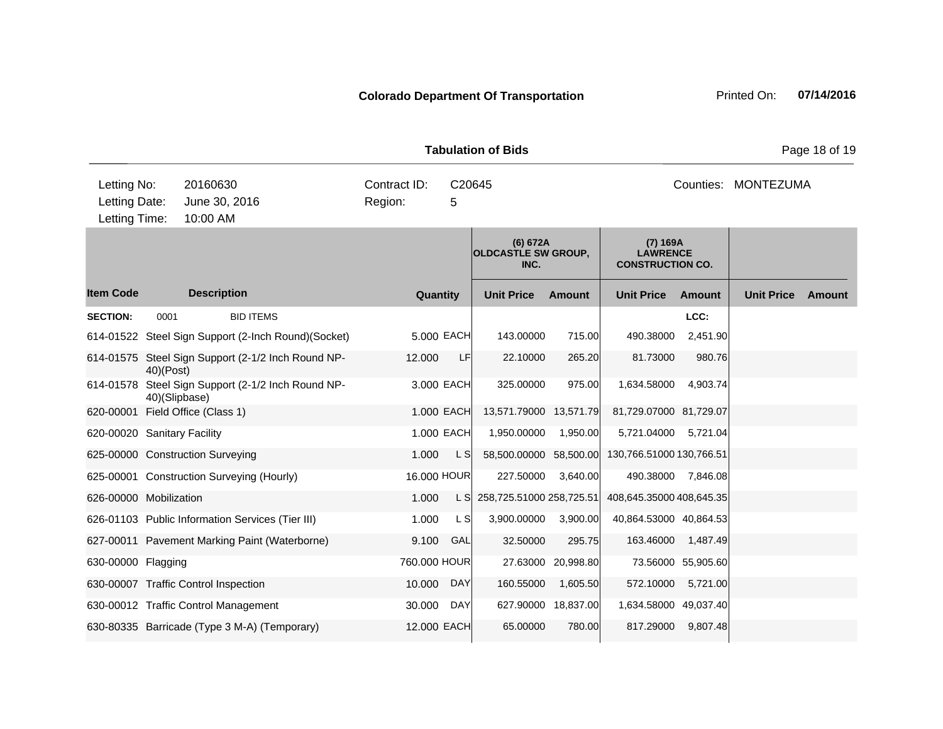| <b>Colorado Department Of Transportation</b> |  |
|----------------------------------------------|--|
|                                              |  |

| uiuuvii vi pius                               |               |                                                     |                         |             |                                                |                     |                                                        |                    |                     | i ayo 10 01 10 |
|-----------------------------------------------|---------------|-----------------------------------------------------|-------------------------|-------------|------------------------------------------------|---------------------|--------------------------------------------------------|--------------------|---------------------|----------------|
| Letting No:<br>Letting Date:<br>Letting Time: |               | 20160630<br>June 30, 2016<br>10:00 AM               | Contract ID:<br>Region: | C20645<br>5 |                                                |                     |                                                        |                    | Counties: MONTEZUMA |                |
|                                               |               |                                                     |                         |             | (6) 672A<br><b>OLDCASTLE SW GROUP,</b><br>INC. |                     | (7) 169A<br><b>LAWRENCE</b><br><b>CONSTRUCTION CO.</b> |                    |                     |                |
| <b>Item Code</b>                              |               | <b>Description</b>                                  | Quantity                |             | <b>Unit Price</b>                              | Amount              | <b>Unit Price</b>                                      | Amount             | <b>Unit Price</b>   | Amount         |
| <b>SECTION:</b>                               | 0001          | <b>BID ITEMS</b>                                    |                         |             |                                                |                     |                                                        | LCC:               |                     |                |
|                                               |               | 614-01522 Steel Sign Support (2-Inch Round)(Socket) |                         | 5,000 EACH  | 143.00000                                      | 715.00              | 490.38000                                              | 2,451.90           |                     |                |
|                                               | 40)(Post)     | 614-01575 Steel Sign Support (2-1/2 Inch Round NP-  | 12.000                  | LF          | 22.10000                                       | 265.20              | 81.73000                                               | 980.76             |                     |                |
|                                               | 40)(Slipbase) | 614-01578 Steel Sign Support (2-1/2 Inch Round NP-  |                         | 3,000 EACH  | 325.00000                                      | 975.00              | 1,634.58000                                            | 4,903.74           |                     |                |
|                                               |               | 620-00001 Field Office (Class 1)                    |                         | 1.000 EACH  | 13,571.79000 13,571.79                         |                     | 81,729.07000 81,729.07                                 |                    |                     |                |
| 620-00020 Sanitary Facility                   |               |                                                     |                         | 1.000 EACH  | 1,950.00000                                    | 1,950.00            | 5,721.04000                                            | 5,721.04           |                     |                |
|                                               |               | 625-00000 Construction Surveying                    | 1.000                   | L S         | 58,500.00000 58,500.00                         |                     | 130,766.51000 130,766.51                               |                    |                     |                |
|                                               |               | 625-00001 Construction Surveying (Hourly)           | 16.000 HOUR             |             | 227.50000                                      | 3,640.00            |                                                        | 490.38000 7,846.08 |                     |                |
| 626-00000 Mobilization                        |               |                                                     | 1.000                   | L SI        | 258,725.51000 258,725.51                       |                     | 408,645.35000 408,645.35                               |                    |                     |                |
|                                               |               | 626-01103 Public Information Services (Tier III)    | 1.000                   | L SI        | 3,900.00000                                    | 3,900.00            | 40,864.53000 40,864.53                                 |                    |                     |                |
|                                               |               | 627-00011 Pavement Marking Paint (Waterborne)       | 9.100                   | GAL         | 32.50000                                       | 295.75              | 163.46000                                              | 1,487.49           |                     |                |
| 630-00000 Flagging                            |               |                                                     | 760.000 HOUR            |             |                                                | 27.63000 20,998.80  |                                                        | 73.56000 55,905.60 |                     |                |
|                                               |               | 630-00007 Traffic Control Inspection                | 10.000                  | <b>DAY</b>  | 160.55000                                      | 1,605.50            | 572.10000                                              | 5,721.00           |                     |                |
|                                               |               | 630-00012 Traffic Control Management                | 30.000                  | DAY         |                                                | 627.90000 18,837.00 | 1,634.58000 49,037.40                                  |                    |                     |                |
|                                               |               | 630-80335 Barricade (Type 3 M-A) (Temporary)        | 12.000 EACH             |             | 65.00000                                       | 780.00              | 817.29000                                              | 9,807.48           |                     |                |
|                                               |               |                                                     |                         |             |                                                |                     |                                                        |                    |                     |                |

**Tabulation of Bids Page 18 of 19**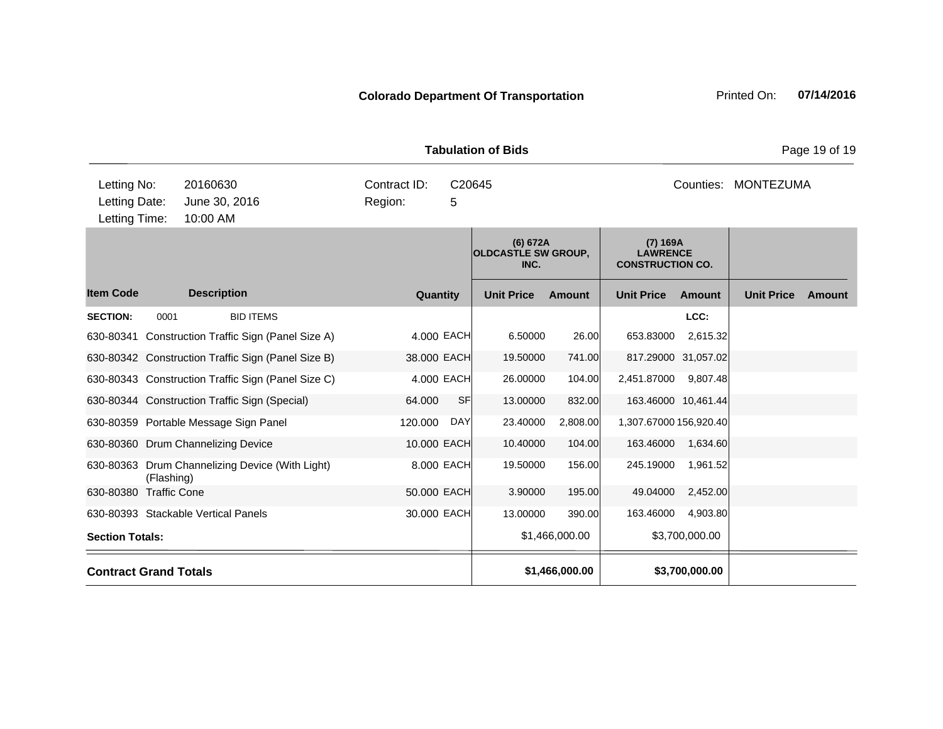Tabulation of Bids **Page 19 of 19** 

| Letting No:                         |                           | 20160630           |                                                    |                                                | Contract ID: |                                                          | C20645            |                |                        | Counties:           | MONTEZUMA         |               |
|-------------------------------------|---------------------------|--------------------|----------------------------------------------------|------------------------------------------------|--------------|----------------------------------------------------------|-------------------|----------------|------------------------|---------------------|-------------------|---------------|
| Letting Date:                       |                           | June 30, 2016      |                                                    |                                                | Region:      | 5                                                        |                   |                |                        |                     |                   |               |
|                                     | Letting Time:<br>10:00 AM |                    |                                                    |                                                |              |                                                          |                   |                |                        |                     |                   |               |
|                                     |                           |                    |                                                    | (6) 672A<br><b>OLDCASTLE SW GROUP,</b><br>INC. |              | $(7)$ 169A<br><b>LAWRENCE</b><br><b>CONSTRUCTION CO.</b> |                   |                |                        |                     |                   |               |
| <b>Item Code</b>                    |                           | <b>Description</b> |                                                    |                                                |              | Quantity                                                 | <b>Unit Price</b> | <b>Amount</b>  | <b>Unit Price</b>      | <b>Amount</b>       | <b>Unit Price</b> | <b>Amount</b> |
| <b>SECTION:</b>                     | 0001                      |                    | <b>BID ITEMS</b>                                   |                                                |              |                                                          |                   |                |                        | LCC:                |                   |               |
|                                     |                           |                    | 630-80341 Construction Traffic Sign (Panel Size A) |                                                |              | 4.000 EACH                                               | 6.50000           | 26.00          | 653.83000              | 2,615.32            |                   |               |
|                                     |                           |                    | 630-80342 Construction Traffic Sign (Panel Size B) |                                                |              | 38,000 EACH                                              | 19.50000          | 741.00         |                        | 817.29000 31,057.02 |                   |               |
|                                     |                           |                    | 630-80343 Construction Traffic Sign (Panel Size C) |                                                |              | 4.000 EACH                                               | 26.00000          | 104.00         | 2,451.87000            | 9,807.48            |                   |               |
|                                     |                           |                    | 630-80344 Construction Traffic Sign (Special)      |                                                | 64.000       | <b>SF</b>                                                | 13.00000          | 832.00         |                        | 163.46000 10,461.44 |                   |               |
|                                     |                           |                    | 630-80359 Portable Message Sign Panel              |                                                | 120.000      | DAY                                                      | 23.40000          | 2,808.00       | 1,307.67000 156,920.40 |                     |                   |               |
| 630-80360 Drum Channelizing Device  |                           |                    |                                                    |                                                |              | 10,000 EACH                                              | 10.40000          | 104.00         | 163.46000              | 1,634.60            |                   |               |
|                                     | (Flashing)                |                    | 630-80363 Drum Channelizing Device (With Light)    |                                                |              | 8.000 EACH                                               | 19.50000          | 156.00         | 245.19000              | 1,961.52            |                   |               |
| 630-80380                           | <b>Traffic Cone</b>       |                    |                                                    |                                                |              | 50.000 EACH                                              | 3.90000           | 195.00         | 49.04000               | 2,452.00            |                   |               |
| 630-80393 Stackable Vertical Panels |                           |                    |                                                    |                                                |              | 30,000 EACH                                              | 13.00000          | 390.00         | 163.46000              | 4,903.80            |                   |               |
| <b>Section Totals:</b>              |                           |                    |                                                    |                                                |              |                                                          |                   | \$1,466,000.00 |                        | \$3,700,000.00      |                   |               |
| <b>Contract Grand Totals</b>        |                           |                    |                                                    |                                                |              |                                                          |                   | \$1,466,000.00 |                        | \$3,700,000.00      |                   |               |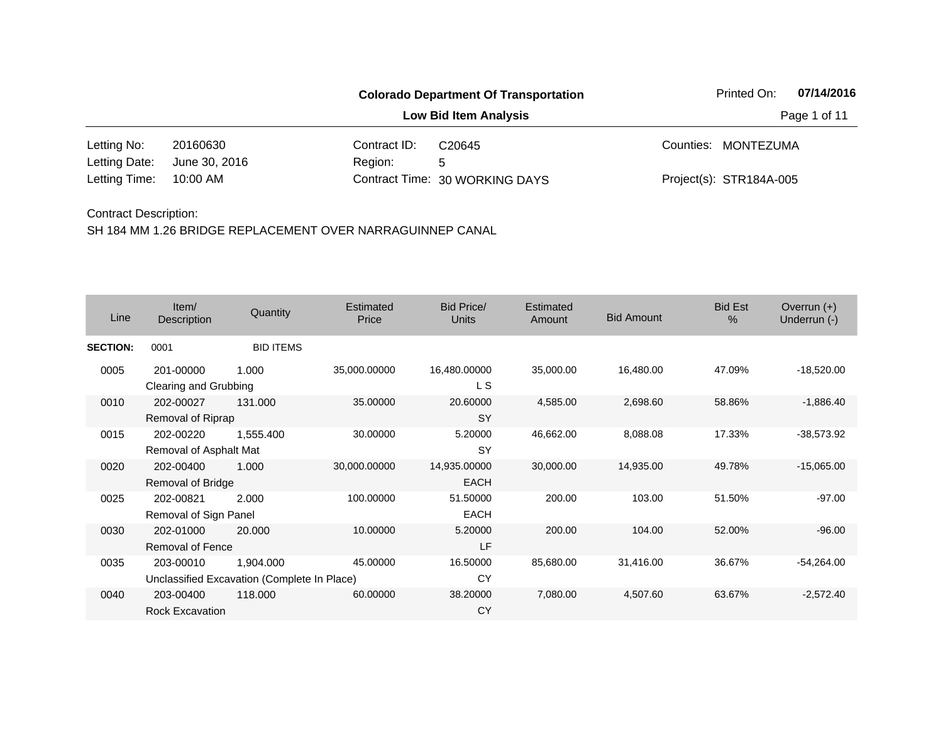|               |               | <b>Colorado Department Of Transportation</b> | 07/14/2016<br>Printed On:      |  |                         |  |  |
|---------------|---------------|----------------------------------------------|--------------------------------|--|-------------------------|--|--|
|               |               |                                              | Page 1 of 11                   |  |                         |  |  |
| Letting No:   | 20160630      | Contract ID:                                 | C <sub>20645</sub>             |  | Counties: MONTEZUMA     |  |  |
| Letting Date: | June 30, 2016 | Region:                                      | 5                              |  |                         |  |  |
| Letting Time: | 10:00 AM      |                                              | Contract Time: 30 WORKING DAYS |  | Project(s): STR184A-005 |  |  |

| Line            | Item/<br>Description                 | Quantity                                                 | Estimated<br>Price | <b>Bid Price/</b><br><b>Units</b> | Estimated<br>Amount | <b>Bid Amount</b> | <b>Bid Est</b><br>$\%$ | Overrun $(+)$<br>Underrun (-) |
|-----------------|--------------------------------------|----------------------------------------------------------|--------------------|-----------------------------------|---------------------|-------------------|------------------------|-------------------------------|
| <b>SECTION:</b> | 0001                                 | <b>BID ITEMS</b>                                         |                    |                                   |                     |                   |                        |                               |
| 0005            | 201-00000<br>Clearing and Grubbing   | 1.000                                                    | 35,000.00000       | 16,480.00000<br>L S               | 35,000.00           | 16,480.00         | 47.09%                 | $-18,520.00$                  |
| 0010            | 202-00027<br>Removal of Riprap       | 131.000                                                  | 35.00000           | 20.60000<br><b>SY</b>             | 4,585.00            | 2,698.60          | 58.86%                 | $-1,886.40$                   |
| 0015            | 202-00220<br>Removal of Asphalt Mat  | 1,555.400                                                | 30.00000           | 5.20000<br><b>SY</b>              | 46,662.00           | 8,088.08          | 17.33%                 | $-38,573.92$                  |
| 0020            | 202-00400<br>Removal of Bridge       | 1.000                                                    | 30,000.00000       | 14,935.00000<br><b>EACH</b>       | 30,000.00           | 14,935.00         | 49.78%                 | $-15,065.00$                  |
| 0025            | 202-00821<br>Removal of Sign Panel   | 2.000                                                    | 100.00000          | 51.50000<br><b>EACH</b>           | 200.00              | 103.00            | 51.50%                 | $-97.00$                      |
| 0030            | 202-01000<br><b>Removal of Fence</b> | 20,000                                                   | 10.00000           | 5.20000<br>LF                     | 200.00              | 104.00            | 52.00%                 | $-96.00$                      |
| 0035            | 203-00010                            | 1,904.000<br>Unclassified Excavation (Complete In Place) | 45.00000           | 16.50000<br>CY                    | 85,680.00           | 31,416.00         | 36.67%                 | $-54,264.00$                  |
| 0040            | 203-00400<br>Rock Excavation         | 118.000                                                  | 60.00000           | 38.20000<br><b>CY</b>             | 7,080.00            | 4,507.60          | 63.67%                 | $-2,572.40$                   |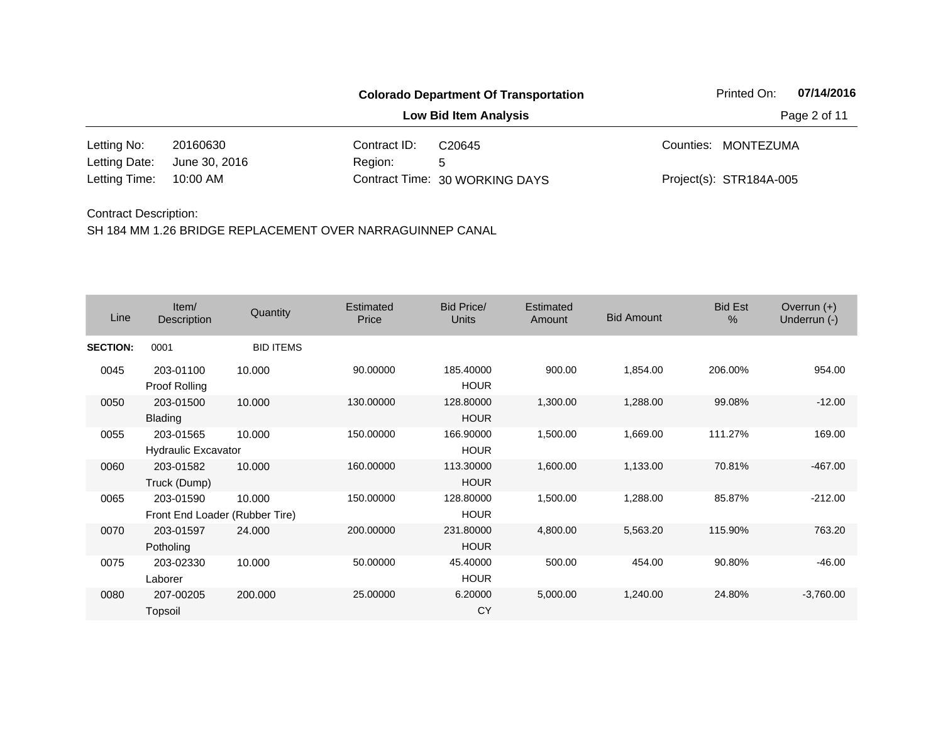|               |               |              | <b>Colorado Department Of Transportation</b> | Printed On:             | 07/14/2016 |
|---------------|---------------|--------------|----------------------------------------------|-------------------------|------------|
|               |               | Page 2 of 11 |                                              |                         |            |
| Letting No:   | 20160630      | Contract ID: | C <sub>20645</sub>                           | Counties: MONTEZUMA     |            |
| Letting Date: | June 30, 2016 | Region:      | 5                                            |                         |            |
| Letting Time: | 10:00 AM      |              | Contract Time: 30 WORKING DAYS               | Project(s): STR184A-005 |            |

| Line            | Item/<br>Description                        | Quantity         | Estimated<br>Price | <b>Bid Price/</b><br><b>Units</b> | Estimated<br>Amount | <b>Bid Amount</b> | <b>Bid Est</b><br>% | Overrun $(+)$<br>Underrun (-) |
|-----------------|---------------------------------------------|------------------|--------------------|-----------------------------------|---------------------|-------------------|---------------------|-------------------------------|
| <b>SECTION:</b> | 0001                                        | <b>BID ITEMS</b> |                    |                                   |                     |                   |                     |                               |
| 0045            | 203-01100<br><b>Proof Rolling</b>           | 10.000           | 90.00000           | 185.40000<br><b>HOUR</b>          | 900.00              | 1,854.00          | 206.00%             | 954.00                        |
| 0050            | 203-01500<br><b>Blading</b>                 | 10.000           | 130.00000          | 128.80000<br><b>HOUR</b>          | 1,300.00            | 1,288.00          | 99.08%              | $-12.00$                      |
| 0055            | 203-01565<br><b>Hydraulic Excavator</b>     | 10.000           | 150.00000          | 166.90000<br><b>HOUR</b>          | 1,500.00            | 1,669.00          | 111.27%             | 169.00                        |
| 0060            | 203-01582<br>Truck (Dump)                   | 10.000           | 160.00000          | 113.30000<br><b>HOUR</b>          | 1,600.00            | 1,133.00          | 70.81%              | $-467.00$                     |
| 0065            | 203-01590<br>Front End Loader (Rubber Tire) | 10.000           | 150.00000          | 128.80000<br><b>HOUR</b>          | 1,500.00            | 1,288.00          | 85.87%              | $-212.00$                     |
| 0070            | 203-01597<br>Potholing                      | 24.000           | 200.00000          | 231.80000<br><b>HOUR</b>          | 4,800.00            | 5,563.20          | 115.90%             | 763.20                        |
| 0075            | 203-02330<br>Laborer                        | 10.000           | 50.00000           | 45.40000<br><b>HOUR</b>           | 500.00              | 454.00            | 90.80%              | $-46.00$                      |
| 0080            | 207-00205<br>Topsoil                        | 200.000          | 25.00000           | 6.20000<br><b>CY</b>              | 5,000.00            | 1,240.00          | 24.80%              | $-3,760.00$                   |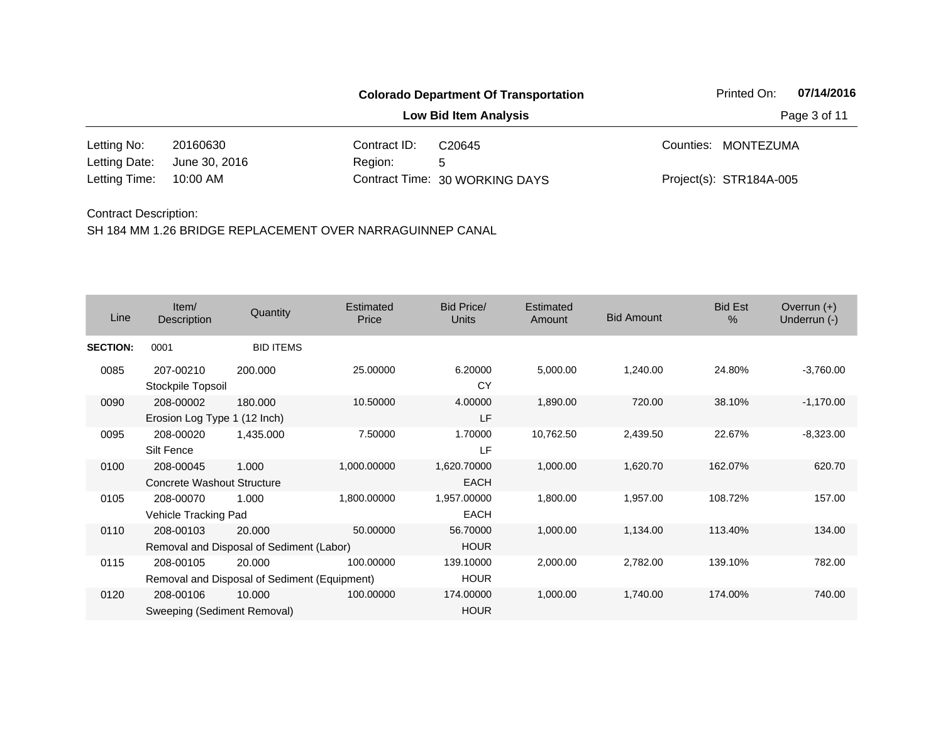| <b>Colorado Department Of Transportation</b> |               |              |                                |  | 07/14/2016<br>Printed On: |  |  |
|----------------------------------------------|---------------|--------------|--------------------------------|--|---------------------------|--|--|
|                                              |               |              | Page 3 of 11                   |  |                           |  |  |
| Letting No:                                  | 20160630      | Contract ID: | C <sub>20645</sub>             |  | Counties: MONTEZUMA       |  |  |
| Letting Date:                                | June 30, 2016 | Region:      | 5                              |  |                           |  |  |
| Letting Time:                                | 10:00 AM      |              | Contract Time: 30 WORKING DAYS |  | Project(s): STR184A-005   |  |  |

| Line            | Item/<br>Description                                      | Quantity         | Estimated<br>Price | Bid Price/<br><b>Units</b> | Estimated<br>Amount | <b>Bid Amount</b> | <b>Bid Est</b><br>$\%$ | Overrun $(+)$<br>Underrun (-) |
|-----------------|-----------------------------------------------------------|------------------|--------------------|----------------------------|---------------------|-------------------|------------------------|-------------------------------|
| <b>SECTION:</b> | 0001                                                      | <b>BID ITEMS</b> |                    |                            |                     |                   |                        |                               |
| 0085            | 207-00210<br>Stockpile Topsoil                            | 200,000          | 25.00000           | 6.20000<br>CY              | 5,000.00            | 1,240.00          | 24.80%                 | $-3,760.00$                   |
| 0090            | 208-00002<br>Erosion Log Type 1 (12 Inch)                 | 180.000          | 10.50000           | 4.00000<br>LF              | 1,890.00            | 720.00            | 38.10%                 | $-1,170.00$                   |
| 0095            | 208-00020<br>Silt Fence                                   | 1,435.000        | 7.50000            | 1.70000<br>LF              | 10,762.50           | 2,439.50          | 22.67%                 | $-8,323.00$                   |
| 0100            | 208-00045<br>Concrete Washout Structure                   | 1.000            | 1,000.00000        | 1,620.70000<br><b>EACH</b> | 1,000.00            | 1,620.70          | 162.07%                | 620.70                        |
| 0105            | 208-00070<br>Vehicle Tracking Pad                         | 1.000            | 1,800.00000        | 1,957.00000<br><b>EACH</b> | 1,800.00            | 1,957.00          | 108.72%                | 157.00                        |
| 0110            | 208-00103<br>Removal and Disposal of Sediment (Labor)     | 20,000           | 50.00000           | 56.70000<br><b>HOUR</b>    | 1,000.00            | 1,134.00          | 113.40%                | 134.00                        |
| 0115            | 208-00105<br>Removal and Disposal of Sediment (Equipment) | 20,000           | 100.00000          | 139.10000<br><b>HOUR</b>   | 2,000.00            | 2,782.00          | 139.10%                | 782.00                        |
| 0120            | 208-00106<br>Sweeping (Sediment Removal)                  | 10.000           | 100.00000          | 174.00000<br><b>HOUR</b>   | 1,000.00            | 1,740.00          | 174.00%                | 740.00                        |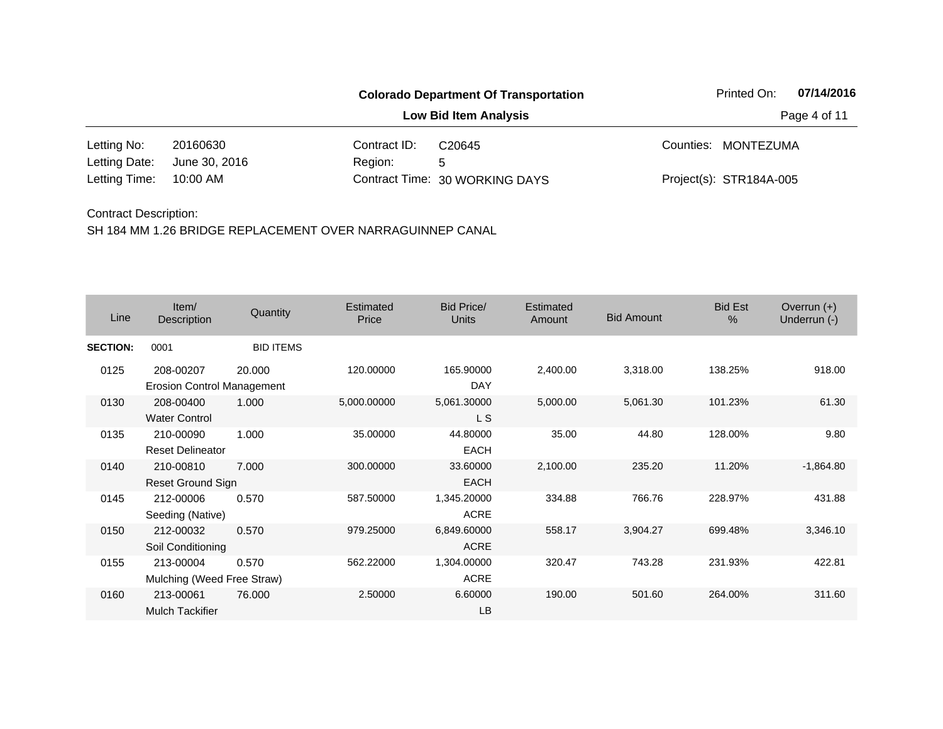|               |               |              | <b>Colorado Department Of Transportation</b> | Printed On:             | 07/14/2016 |
|---------------|---------------|--------------|----------------------------------------------|-------------------------|------------|
|               |               | Page 4 of 11 |                                              |                         |            |
| Letting No:   | 20160630      | Contract ID: | C <sub>20645</sub>                           | Counties: MONTEZUMA     |            |
| Letting Date: | June 30, 2016 | Region:      | 5                                            |                         |            |
| Letting Time: | 10:00 AM      |              | Contract Time: 30 WORKING DAYS               | Project(s): STR184A-005 |            |

| Line            | Item/<br>Description                           | Quantity         | Estimated<br>Price | <b>Bid Price/</b><br><b>Units</b> | Estimated<br>Amount | <b>Bid Amount</b> | <b>Bid Est</b><br>% | Overrun $(+)$<br>Underrun (-) |
|-----------------|------------------------------------------------|------------------|--------------------|-----------------------------------|---------------------|-------------------|---------------------|-------------------------------|
| <b>SECTION:</b> | 0001                                           | <b>BID ITEMS</b> |                    |                                   |                     |                   |                     |                               |
| 0125            | 208-00207<br><b>Erosion Control Management</b> | 20.000           | 120.00000          | 165.90000<br><b>DAY</b>           | 2,400.00            | 3,318.00          | 138.25%             | 918.00                        |
| 0130            | 208-00400<br><b>Water Control</b>              | 1.000            | 5,000.00000        | 5,061.30000<br>L S                | 5,000.00            | 5,061.30          | 101.23%             | 61.30                         |
| 0135            | 210-00090<br><b>Reset Delineator</b>           | 1.000            | 35.00000           | 44.80000<br><b>EACH</b>           | 35.00               | 44.80             | 128.00%             | 9.80                          |
| 0140            | 210-00810<br>Reset Ground Sign                 | 7.000            | 300.00000          | 33.60000<br>EACH                  | 2,100.00            | 235.20            | 11.20%              | $-1,864.80$                   |
| 0145            | 212-00006<br>Seeding (Native)                  | 0.570            | 587.50000          | 1,345.20000<br><b>ACRE</b>        | 334.88              | 766.76            | 228.97%             | 431.88                        |
| 0150            | 212-00032<br>Soil Conditioning                 | 0.570            | 979.25000          | 6,849.60000<br><b>ACRE</b>        | 558.17              | 3,904.27          | 699.48%             | 3,346.10                      |
| 0155            | 213-00004<br>Mulching (Weed Free Straw)        | 0.570            | 562.22000          | 1,304.00000<br><b>ACRE</b>        | 320.47              | 743.28            | 231.93%             | 422.81                        |
| 0160            | 213-00061<br><b>Mulch Tackifier</b>            | 76.000           | 2.50000            | 6.60000<br><b>LB</b>              | 190.00              | 501.60            | 264.00%             | 311.60                        |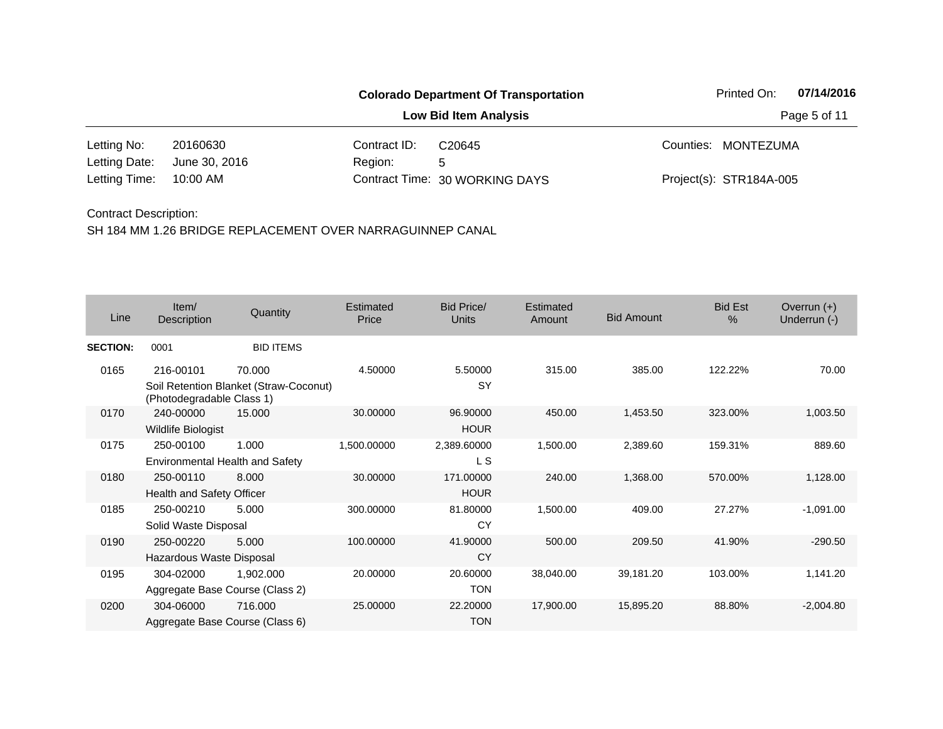| <b>Colorado Department Of Transportation</b> |               |              |                                |  | 07/14/2016<br>Printed On: |  |  |  |
|----------------------------------------------|---------------|--------------|--------------------------------|--|---------------------------|--|--|--|
|                                              |               |              | Page 5 of 11                   |  |                           |  |  |  |
| Letting No:                                  | 20160630      | Contract ID: | C <sub>20645</sub>             |  | Counties: MONTEZUMA       |  |  |  |
| Letting Date:                                | June 30, 2016 | Region:      | 5                              |  |                           |  |  |  |
| Letting Time:                                | 10:00 AM      |              | Contract Time: 30 WORKING DAYS |  | Project(s): STR184A-005   |  |  |  |

| Line            | Item/<br>Description            | Quantity                               | Estimated<br>Price | <b>Bid Price/</b><br><b>Units</b> | Estimated<br>Amount | <b>Bid Amount</b> | <b>Bid Est</b><br>$\%$ | Overrun $(+)$<br>Underrun (-) |
|-----------------|---------------------------------|----------------------------------------|--------------------|-----------------------------------|---------------------|-------------------|------------------------|-------------------------------|
| <b>SECTION:</b> | 0001                            | <b>BID ITEMS</b>                       |                    |                                   |                     |                   |                        |                               |
| 0165            | 216-00101                       | 70.000                                 | 4.50000            | 5.50000                           | 315.00              | 385.00            | 122.22%                | 70.00                         |
|                 | (Photodegradable Class 1)       | Soil Retention Blanket (Straw-Coconut) |                    | SY                                |                     |                   |                        |                               |
| 0170            | 240-00000                       | 15.000                                 | 30.00000           | 96.90000                          | 450.00              | 1,453.50          | 323.00%                | 1,003.50                      |
|                 | <b>Wildlife Biologist</b>       |                                        |                    | <b>HOUR</b>                       |                     |                   |                        |                               |
| 0175            | 250-00100                       | 1.000                                  | 1,500.00000        | 2,389.60000                       | 1,500.00            | 2,389.60          | 159.31%                | 889.60                        |
|                 | Environmental Health and Safety |                                        |                    | L S                               |                     |                   |                        |                               |
| 0180            | 250-00110                       | 8.000                                  | 30.00000           | 171.00000                         | 240.00              | 1,368.00          | 570.00%                | 1,128.00                      |
|                 | Health and Safety Officer       |                                        |                    | <b>HOUR</b>                       |                     |                   |                        |                               |
| 0185            | 250-00210                       | 5.000                                  | 300.00000          | 81.80000                          | 1,500.00            | 409.00            | 27.27%                 | $-1,091.00$                   |
|                 | Solid Waste Disposal            |                                        |                    | CY                                |                     |                   |                        |                               |
| 0190            | 250-00220                       | 5.000                                  | 100.00000          | 41.90000                          | 500.00              | 209.50            | 41.90%                 | $-290.50$                     |
|                 | Hazardous Waste Disposal        |                                        |                    | <b>CY</b>                         |                     |                   |                        |                               |
| 0195            | 304-02000                       | 1,902.000                              | 20.00000           | 20.60000                          | 38,040.00           | 39,181.20         | 103.00%                | 1,141.20                      |
|                 |                                 | Aggregate Base Course (Class 2)        |                    | <b>TON</b>                        |                     |                   |                        |                               |
| 0200            | 304-06000                       | 716.000                                | 25.00000           | 22.20000                          | 17,900.00           | 15,895.20         | 88.80%                 | $-2,004.80$                   |
|                 |                                 | Aggregate Base Course (Class 6)        |                    | <b>TON</b>                        |                     |                   |                        |                               |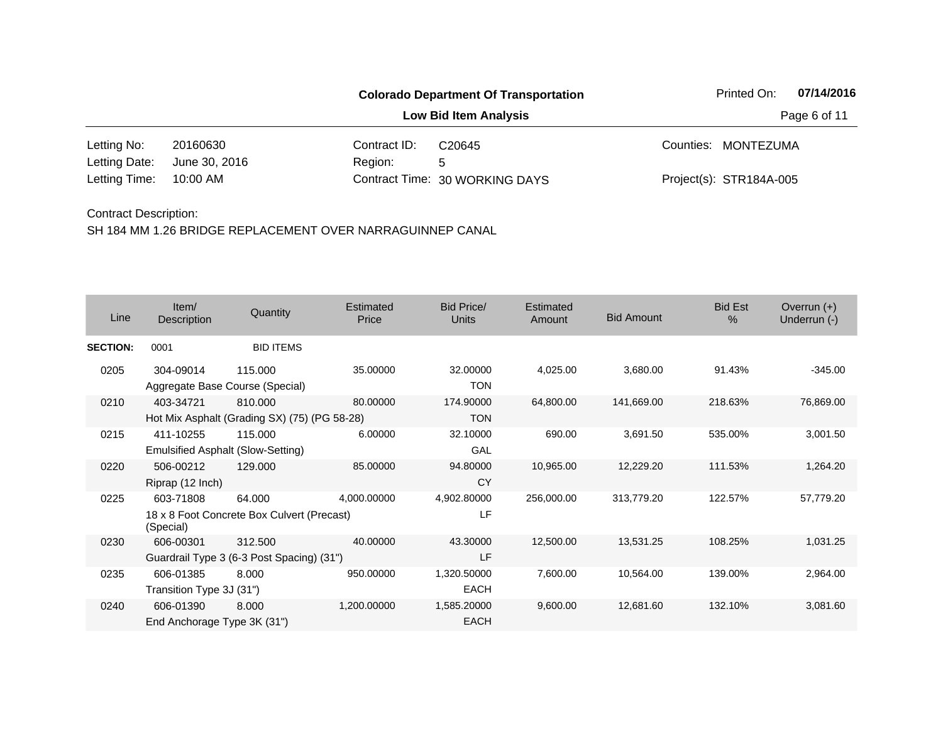|               |               |              | <b>Colorado Department Of Transportation</b> | Printed On:             | 07/14/2016 |
|---------------|---------------|--------------|----------------------------------------------|-------------------------|------------|
|               |               | Page 6 of 11 |                                              |                         |            |
| Letting No:   | 20160630      | Contract ID: | C <sub>20645</sub>                           | Counties: MONTEZUMA     |            |
| Letting Date: | June 30, 2016 | Region:      | 5                                            |                         |            |
| Letting Time: | 10:00 AM      |              | Contract Time: 30 WORKING DAYS               | Project(s): STR184A-005 |            |

| Line            | Item/<br>Description                     | Quantity                                                | Estimated<br>Price | Bid Price/<br>Units        | Estimated<br>Amount | <b>Bid Amount</b> | <b>Bid Est</b><br>% | Overrun $(+)$<br>Underrun (-) |
|-----------------|------------------------------------------|---------------------------------------------------------|--------------------|----------------------------|---------------------|-------------------|---------------------|-------------------------------|
| <b>SECTION:</b> | 0001                                     | <b>BID ITEMS</b>                                        |                    |                            |                     |                   |                     |                               |
| 0205            | 304-09014                                | 115.000<br>Aggregate Base Course (Special)              | 35.00000           | 32.00000<br><b>TON</b>     | 4,025.00            | 3,680.00          | 91.43%              | $-345.00$                     |
| 0210            | 403-34721                                | 810,000<br>Hot Mix Asphalt (Grading SX) (75) (PG 58-28) | 80.00000           | 174.90000<br><b>TON</b>    | 64,800.00           | 141,669.00        | 218.63%             | 76,869.00                     |
| 0215            | 411-10255                                | 115.000<br>Emulsified Asphalt (Slow-Setting)            | 6.00000            | 32.10000<br>GAL            | 690.00              | 3,691.50          | 535.00%             | 3,001.50                      |
| 0220            | 506-00212<br>Riprap (12 Inch)            | 129.000                                                 | 85.00000           | 94.80000<br><b>CY</b>      | 10,965.00           | 12,229.20         | 111.53%             | 1,264.20                      |
| 0225            | 603-71808<br>(Special)                   | 64.000<br>18 x 8 Foot Concrete Box Culvert (Precast)    | 4,000.00000        | 4,902.80000<br>LF          | 256,000.00          | 313,779.20        | 122.57%             | 57,779.20                     |
| 0230            | 606-00301                                | 312.500<br>Guardrail Type 3 (6-3 Post Spacing) (31")    | 40.00000           | 43.30000<br>LF             | 12,500.00           | 13,531.25         | 108.25%             | 1,031.25                      |
| 0235            | 606-01385<br>Transition Type 3J (31")    | 8.000                                                   | 950.00000          | 1,320.50000<br><b>EACH</b> | 7,600.00            | 10,564.00         | 139.00%             | 2,964.00                      |
| 0240            | 606-01390<br>End Anchorage Type 3K (31") | 8.000                                                   | 1,200.00000        | 1,585.20000<br><b>EACH</b> | 9,600.00            | 12,681.60         | 132.10%             | 3,081.60                      |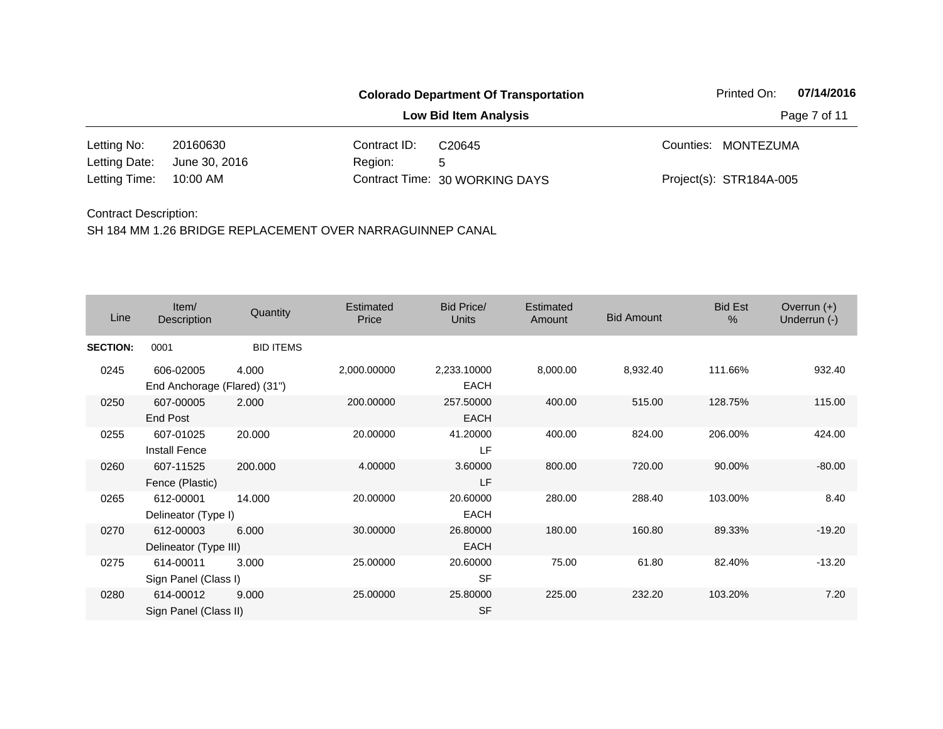|               |               |              | <b>Colorado Department Of Transportation</b> | Printed On:             | 07/14/2016 |
|---------------|---------------|--------------|----------------------------------------------|-------------------------|------------|
|               |               | Page 7 of 11 |                                              |                         |            |
| Letting No:   | 20160630      | Contract ID: | C <sub>20645</sub>                           | Counties: MONTEZUMA     |            |
| Letting Date: | June 30, 2016 | Region:      | 5                                            |                         |            |
| Letting Time: | 10:00 AM      |              | Contract Time: 30 WORKING DAYS               | Project(s): STR184A-005 |            |

| Line            | Item/<br>Description                      | Quantity         | Estimated<br>Price | Bid Price/<br><b>Units</b> | Estimated<br>Amount | <b>Bid Amount</b> | <b>Bid Est</b><br>$\%$ | Overrun $(+)$<br>Underrun (-) |
|-----------------|-------------------------------------------|------------------|--------------------|----------------------------|---------------------|-------------------|------------------------|-------------------------------|
| <b>SECTION:</b> | 0001                                      | <b>BID ITEMS</b> |                    |                            |                     |                   |                        |                               |
| 0245            | 606-02005<br>End Anchorage (Flared) (31") | 4.000            | 2,000.00000        | 2,233.10000<br><b>EACH</b> | 8,000.00            | 8,932.40          | 111.66%                | 932.40                        |
| 0250            | 607-00005<br>End Post                     | 2.000            | 200.00000          | 257.50000<br><b>EACH</b>   | 400.00              | 515.00            | 128.75%                | 115.00                        |
| 0255            | 607-01025<br><b>Install Fence</b>         | 20.000           | 20.00000           | 41.20000<br>LF             | 400.00              | 824.00            | 206.00%                | 424.00                        |
| 0260            | 607-11525<br>Fence (Plastic)              | 200.000          | 4.00000            | 3.60000<br>LF              | 800.00              | 720.00            | 90.00%                 | $-80.00$                      |
| 0265            | 612-00001<br>Delineator (Type I)          | 14.000           | 20.00000           | 20.60000<br><b>EACH</b>    | 280.00              | 288.40            | 103.00%                | 8.40                          |
| 0270            | 612-00003<br>Delineator (Type III)        | 6.000            | 30.00000           | 26.80000<br><b>EACH</b>    | 180.00              | 160.80            | 89.33%                 | $-19.20$                      |
| 0275            | 614-00011<br>Sign Panel (Class I)         | 3.000            | 25.00000           | 20.60000<br><b>SF</b>      | 75.00               | 61.80             | 82.40%                 | $-13.20$                      |
| 0280            | 614-00012<br>Sign Panel (Class II)        | 9.000            | 25.00000           | 25.80000<br><b>SF</b>      | 225.00              | 232.20            | 103.20%                | 7.20                          |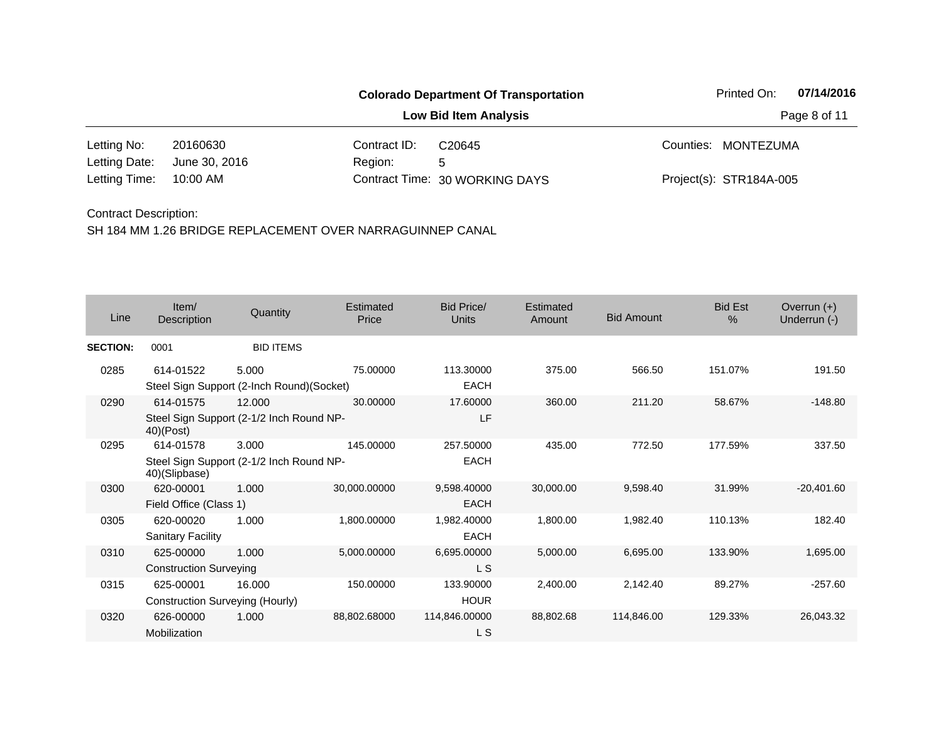|               |               |                              | <b>Colorado Department Of Transportation</b> |  | Printed On:             | 07/14/2016 |
|---------------|---------------|------------------------------|----------------------------------------------|--|-------------------------|------------|
|               |               | <b>Low Bid Item Analysis</b> | Page 8 of 11                                 |  |                         |            |
| Letting No:   | 20160630      | Contract ID:                 | C <sub>20645</sub>                           |  | Counties: MONTEZUMA     |            |
| Letting Date: | June 30, 2016 | Region:                      | 5                                            |  |                         |            |
| Letting Time: | 10:00 AM      |                              | Contract Time: 30 WORKING DAYS               |  | Project(s): STR184A-005 |            |

| Line            | Item/<br>Description                         | Quantity                                           | <b>Estimated</b><br>Price | Bid Price/<br><b>Units</b> | Estimated<br>Amount | <b>Bid Amount</b> | <b>Bid Est</b><br>% | Overrun $(+)$<br>Underrun (-) |
|-----------------|----------------------------------------------|----------------------------------------------------|---------------------------|----------------------------|---------------------|-------------------|---------------------|-------------------------------|
| <b>SECTION:</b> | 0001                                         | <b>BID ITEMS</b>                                   |                           |                            |                     |                   |                     |                               |
| 0285            | 614-01522                                    | 5.000<br>Steel Sign Support (2-Inch Round)(Socket) | 75.00000                  | 113.30000<br><b>EACH</b>   | 375.00              | 566.50            | 151.07%             | 191.50                        |
| 0290            | 614-01575<br>$40)$ (Post)                    | 12.000<br>Steel Sign Support (2-1/2 Inch Round NP- | 30.00000                  | 17,60000<br>LF             | 360.00              | 211.20            | 58.67%              | $-148.80$                     |
| 0295            | 614-01578<br>40)(Slipbase)                   | 3.000<br>Steel Sign Support (2-1/2 Inch Round NP-  | 145.00000                 | 257.50000<br><b>EACH</b>   | 435.00              | 772.50            | 177.59%             | 337.50                        |
| 0300            | 620-00001<br>Field Office (Class 1)          | 1.000                                              | 30,000.00000              | 9,598.40000<br><b>EACH</b> | 30,000.00           | 9,598.40          | 31.99%              | $-20,401.60$                  |
| 0305            | 620-00020<br><b>Sanitary Facility</b>        | 1.000                                              | 1,800.00000               | 1,982.40000<br><b>EACH</b> | 1,800.00            | 1,982.40          | 110.13%             | 182.40                        |
| 0310            | 625-00000<br><b>Construction Surveying</b>   | 1.000                                              | 5,000.00000               | 6,695.00000<br>L S         | 5,000.00            | 6,695.00          | 133.90%             | 1,695.00                      |
| 0315            | 625-00001<br>Construction Surveying (Hourly) | 16.000                                             | 150.00000                 | 133.90000<br><b>HOUR</b>   | 2,400.00            | 2,142.40          | 89.27%              | $-257.60$                     |
| 0320            | 626-00000<br>Mobilization                    | 1.000                                              | 88,802.68000              | 114,846.00000<br>L S       | 88,802.68           | 114,846.00        | 129.33%             | 26,043.32                     |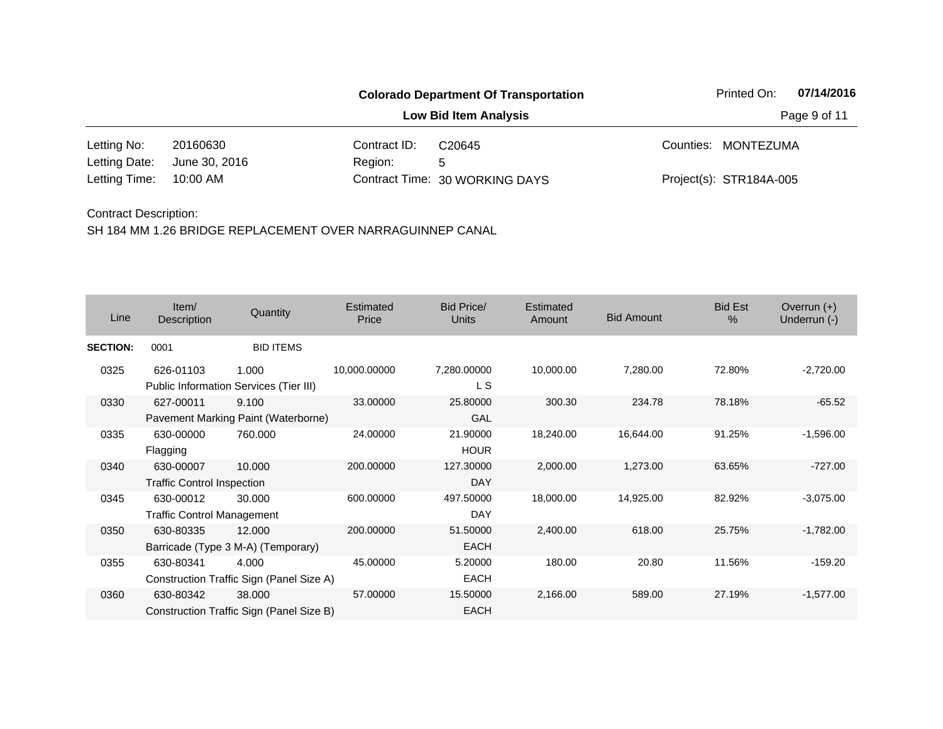|               |               |              | <b>Colorado Department Of Transportation</b> |  | Printed On:             | 07/14/2016   |
|---------------|---------------|--------------|----------------------------------------------|--|-------------------------|--------------|
|               |               |              | <b>Low Bid Item Analysis</b>                 |  |                         | Page 9 of 11 |
| Letting No:   | 20160630      | Contract ID: | C <sub>20645</sub>                           |  | Counties: MONTEZUMA     |              |
| Letting Date: | June 30, 2016 | Region:      | 5                                            |  |                         |              |
| Letting Time: | 10:00 AM      |              | Contract Time: 30 WORKING DAYS               |  | Project(s): STR184A-005 |              |

| Line            | Item/<br>Description                           | Quantity                                           | Estimated<br>Price | Bid Price/<br><b>Units</b> | Estimated<br>Amount | <b>Bid Amount</b> | <b>Bid Est</b><br>% | Overrun $(+)$<br>Underrun (-) |
|-----------------|------------------------------------------------|----------------------------------------------------|--------------------|----------------------------|---------------------|-------------------|---------------------|-------------------------------|
| <b>SECTION:</b> | 0001                                           | <b>BID ITEMS</b>                                   |                    |                            |                     |                   |                     |                               |
| 0325            | 626-01103                                      | 1.000<br>Public Information Services (Tier III)    | 10,000.00000       | 7,280.00000<br>L S         | 10,000.00           | 7,280.00          | 72.80%              | $-2,720.00$                   |
| 0330            | 627-00011                                      | 9.100<br>Pavement Marking Paint (Waterborne)       | 33.00000           | 25.80000<br><b>GAL</b>     | 300.30              | 234.78            | 78.18%              | $-65.52$                      |
| 0335            | 630-00000<br>Flagging                          | 760.000                                            | 24.00000           | 21.90000<br><b>HOUR</b>    | 18,240.00           | 16,644.00         | 91.25%              | $-1,596.00$                   |
| 0340            | 630-00007<br><b>Traffic Control Inspection</b> | 10.000                                             | 200.00000          | 127.30000<br><b>DAY</b>    | 2,000.00            | 1,273.00          | 63.65%              | $-727.00$                     |
| 0345            | 630-00012<br><b>Traffic Control Management</b> | 30.000                                             | 600.00000          | 497.50000<br><b>DAY</b>    | 18,000.00           | 14,925.00         | 82.92%              | $-3,075.00$                   |
| 0350            | 630-80335                                      | 12.000<br>Barricade (Type 3 M-A) (Temporary)       | 200.00000          | 51.50000<br><b>EACH</b>    | 2,400.00            | 618.00            | 25.75%              | $-1,782.00$                   |
| 0355            | 630-80341                                      | 4.000<br>Construction Traffic Sign (Panel Size A)  | 45.00000           | 5.20000<br>EACH            | 180.00              | 20.80             | 11.56%              | $-159.20$                     |
| 0360            | 630-80342                                      | 38.000<br>Construction Traffic Sign (Panel Size B) | 57.00000           | 15.50000<br><b>EACH</b>    | 2,166.00            | 589.00            | 27.19%              | $-1,577.00$                   |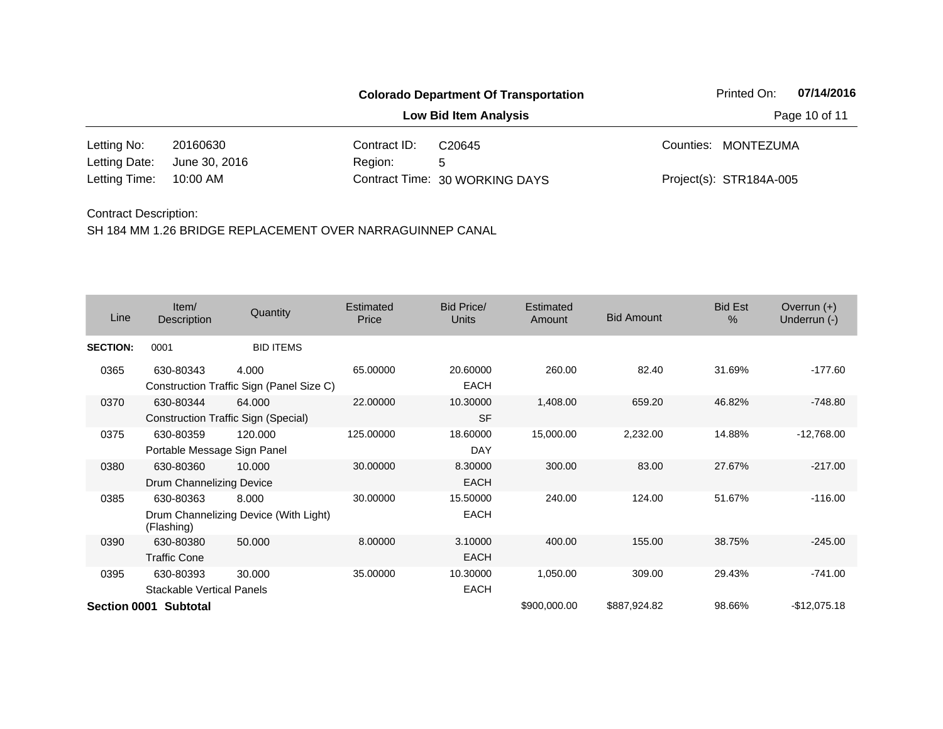|               |               |                              | <b>Colorado Department Of Transportation</b> |  | Printed On:             | 07/14/2016 |
|---------------|---------------|------------------------------|----------------------------------------------|--|-------------------------|------------|
|               |               | <b>Low Bid Item Analysis</b> | Page 10 of 11                                |  |                         |            |
| Letting No:   | 20160630      | Contract ID:                 | C <sub>20645</sub>                           |  | Counties: MONTEZUMA     |            |
| Letting Date: | June 30, 2016 | Region:                      | 5                                            |  |                         |            |
| Letting Time: | 10:00 AM      |                              | Contract Time: 30 WORKING DAYS               |  | Project(s): STR184A-005 |            |

| Line            | Item/<br>Description                          | Quantity                                             | Estimated<br>Price | Bid Price/<br><b>Units</b> | Estimated<br>Amount | <b>Bid Amount</b> | <b>Bid Est</b><br>$\%$ | Overrun $(+)$<br>Underrun (-) |
|-----------------|-----------------------------------------------|------------------------------------------------------|--------------------|----------------------------|---------------------|-------------------|------------------------|-------------------------------|
| <b>SECTION:</b> | 0001                                          | <b>BID ITEMS</b>                                     |                    |                            |                     |                   |                        |                               |
| 0365            | 630-80343                                     | 4.000<br>Construction Traffic Sign (Panel Size C)    | 65.00000           | 20.60000<br><b>EACH</b>    | 260.00              | 82.40             | 31.69%                 | $-177.60$                     |
| 0370            | 630-80344                                     | 64.000<br><b>Construction Traffic Sign (Special)</b> | 22.00000           | 10.30000<br><b>SF</b>      | 1,408.00            | 659.20            | 46.82%                 | $-748.80$                     |
| 0375            | 630-80359<br>Portable Message Sign Panel      | 120.000                                              | 125.00000          | 18.60000<br><b>DAY</b>     | 15,000.00           | 2,232.00          | 14.88%                 | $-12,768.00$                  |
| 0380            | 630-80360<br>Drum Channelizing Device         | 10.000                                               | 30.00000           | 8.30000<br><b>EACH</b>     | 300.00              | 83.00             | 27.67%                 | $-217.00$                     |
| 0385            | 630-80363<br>(Flashing)                       | 8.000<br>Drum Channelizing Device (With Light)       | 30.00000           | 15.50000<br><b>EACH</b>    | 240.00              | 124.00            | 51.67%                 | $-116.00$                     |
| 0390            | 630-80380<br><b>Traffic Cone</b>              | 50,000                                               | 8.00000            | 3.10000<br><b>EACH</b>     | 400.00              | 155.00            | 38.75%                 | $-245.00$                     |
| 0395            | 630-80393<br><b>Stackable Vertical Panels</b> | 30.000                                               | 35.00000           | 10.30000<br><b>EACH</b>    | 1,050.00            | 309.00            | 29.43%                 | $-741.00$                     |
|                 | Section 0001 Subtotal                         |                                                      |                    |                            | \$900,000.00        | \$887,924.82      | 98.66%                 | $-$12,075.18$                 |